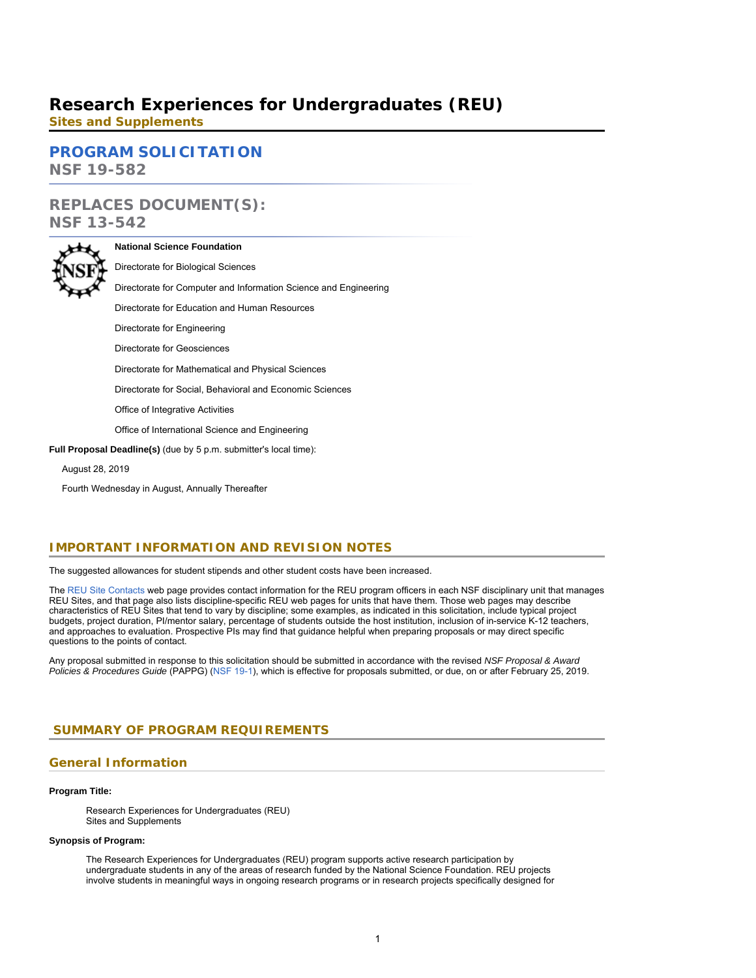# **Research Experiences for Undergraduates (REU)**

**Sites and Supplements**

**[PROGRAM SOLICITATION](#page-2-0)**

**NSF 19-582**

# **REPLACES DOCUMENT(S): NSF 13-542**

**National Science Foundation** Directorate for Biological Sciences Directorate for Computer and Information Science and Engineering Directorate for Education and Human Resources Directorate for Engineering Directorate for Geosciences Directorate for Mathematical and Physical Sciences Directorate for Social, Behavioral and Economic Sciences Office of Integrative Activities Office of International Science and Engineering **Full Proposal Deadline(s)** (due by 5 p.m. submitter's local time):

August 28, 2019

Fourth Wednesday in August, Annually Thereafter

# **IMPORTANT INFORMATION AND REVISION NOTES**

The suggested allowances for student stipends and other student costs have been increased.

The [REU Site Contacts](https://www.nsf.gov/crssprgm/reu/reu_contacts.jsp) web page provides contact information for the REU program officers in each NSF disciplinary unit that manages REU Sites, and that page also lists discipline-specific REU web pages for units that have them. Those web pages may describe characteristics of REU Sites that tend to vary by discipline; some examples, as indicated in this solicitation, include typical project budgets, project duration, PI/mentor salary, percentage of students outside the host institution, inclusion of in-service K-12 teachers, and approaches to evaluation. Prospective PIs may find that guidance helpful when preparing proposals or may direct specific questions to the points of contact.

Any proposal submitted in response to this solicitation should be submitted in accordance with the revised *NSF Proposal & Award Policies & Procedures Guide* (PAPPG) ([NSF 19-1\)](https://www.nsf.gov/publications/pub_summ.jsp?ods_key=nsf19001), which is effective for proposals submitted, or due, on or after February 25, 2019.

# <span id="page-0-0"></span>**SUMMARY OF PROGRAM REQUIREMENTS**

### **General Information**

### **Program Title:**

Research Experiences for Undergraduates (REU) Sites and Supplements

### **Synopsis of Program:**

The Research Experiences for Undergraduates (REU) program supports active research participation by undergraduate students in any of the areas of research funded by the National Science Foundation. REU projects involve students in meaningful ways in ongoing research programs or in research projects specifically designed for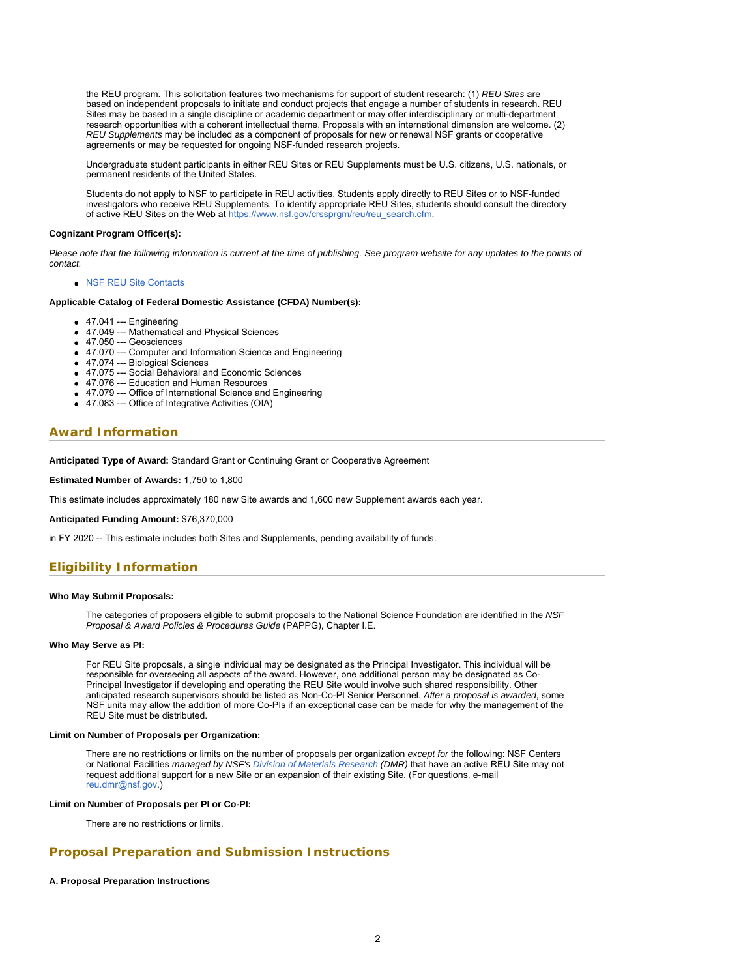the REU program. This solicitation features two mechanisms for support of student research: (1) *REU Sites* are based on independent proposals to initiate and conduct projects that engage a number of students in research. REU Sites may be based in a single discipline or academic department or may offer interdisciplinary or multi-department research opportunities with a coherent intellectual theme. Proposals with an international dimension are welcome. (2) *REU Supplements* may be included as a component of proposals for new or renewal NSF grants or cooperative agreements or may be requested for ongoing NSF-funded research projects.

Undergraduate student participants in either REU Sites or REU Supplements must be U.S. citizens, U.S. nationals, or permanent residents of the United States.

Students do not apply to NSF to participate in REU activities. Students apply directly to REU Sites or to NSF-funded investigators who receive REU Supplements. To identify appropriate REU Sites, students should consult the directory of active REU Sites on the Web at [https://www.nsf.gov/crssprgm/reu/reu\\_search.cfm](https://www.nsf.gov/crssprgm/reu/reu_search.cfm).

#### **Cognizant Program Officer(s):**

*Please note that the following information is current at the time of publishing. See program website for any updates to the points of contact.*

[NSF REU Site Contacts](https://www.nsf.gov/crssprgm/reu/reu_contacts.jsp)

#### **Applicable Catalog of Federal Domestic Assistance (CFDA) Number(s):**

- 47.041 --- Engineering
	- 47.049 --- Mathematical and Physical Sciences
	- 47.050 --- Geosciences
	- 47.070 --- Computer and Information Science and Engineering
	- 47.074 --- Biological Sciences
	- 47.075 --- Social Behavioral and Economic Sciences
	- 47.076 --- Education and Human Resources
	- 47.079 --- Office of International Science and Engineering
	- 47.083 --- Office of Integrative Activities (OIA)

### **Award Information**

**Anticipated Type of Award:** Standard Grant or Continuing Grant or Cooperative Agreement

**Estimated Number of Awards: 1,750 to 1,800** 

This estimate includes approximately 180 new Site awards and 1,600 new Supplement awards each year.

**Anticipated Funding Amount:** \$76,370,000

in FY 2020 -- This estimate includes both Sites and Supplements, pending availability of funds.

# **Eligibility Information**

### **Who May Submit Proposals:**

The categories of proposers eligible to submit proposals to the National Science Foundation are identified in the *NSF Proposal & Award Policies & Procedures Guide* (PAPPG), Chapter I.E.

#### **Who May Serve as PI:**

For REU Site proposals, a single individual may be designated as the Principal Investigator. This individual will be responsible for overseeing all aspects of the award. However, one additional person may be designated as Co-Principal Investigator if developing and operating the REU Site would involve such shared responsibility. Other anticipated research supervisors should be listed as Non-Co-PI Senior Personnel. *After a proposal is awarded*, some NSF units may allow the addition of more Co-PIs if an exceptional case can be made for why the management of the REU Site must be distributed.

### **Limit on Number of Proposals per Organization:**

There are no restrictions or limits on the number of proposals per organization *except for* the following: NSF Centers or National Facilities *managed by NSF's [Division of Materials Research](https://www.nsf.gov/div/index.jsp?div=DMR) (DMR)* that have an active REU Site may not request additional support for a new Site or an expansion of their existing Site. (For questions, e-mail [reu.dmr@nsf.gov](mailto:reu.dmr@nsf.gov).)

### **Limit on Number of Proposals per PI or Co-PI:**

There are no restrictions or limits.

### **Proposal Preparation and Submission Instructions**

### **A. Proposal Preparation Instructions**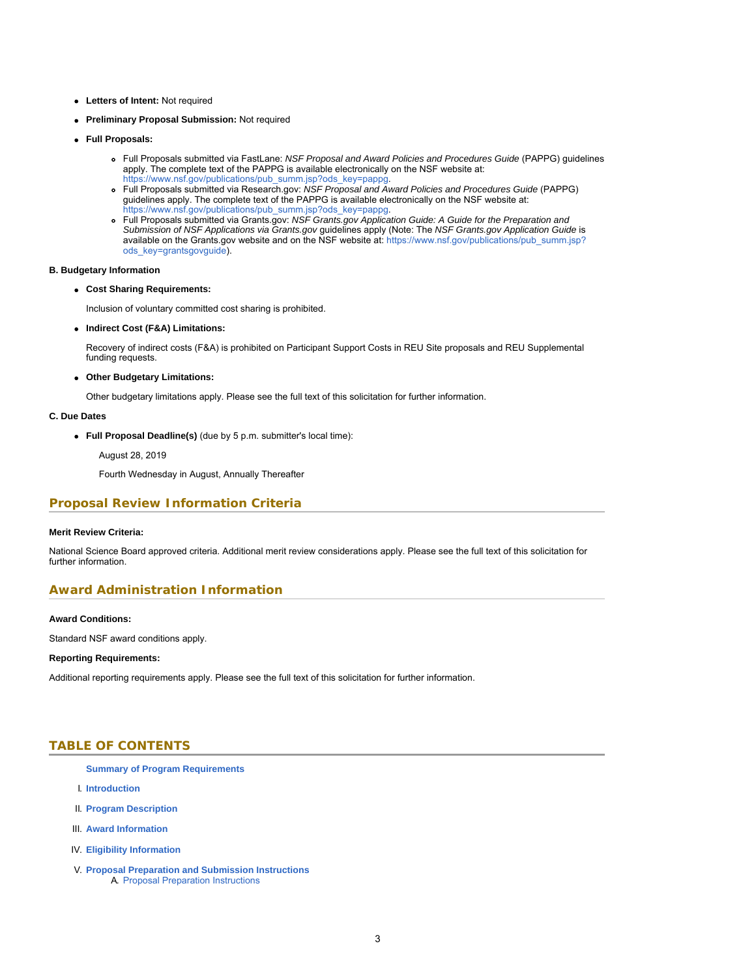- **Letters of Intent:** Not required
- **Preliminary Proposal Submission:** Not required
- **Full Proposals:**
	- Full Proposals submitted via FastLane: *NSF Proposal and Award Policies and Procedures Guide* (PAPPG) guidelines apply. The complete text of the PAPPG is available electronically on the NSF website at: https://www.nsf.gov/publications/pub\_summ.jsp?ods\_key=pappg
	- Full Proposals submitted via Research.gov: *NSF Proposal and Award Policies and Procedures Guide* (PAPPG) guidelines apply. The complete text of the PAPPG is available electronically on the NSF website at: [https://www.nsf.gov/publications/pub\\_summ.jsp?ods\\_key=pappg.](https://www.nsf.gov/publications/pub_summ.jsp?ods_key=pappg)
	- Full Proposals submitted via Grants.gov: *NSF Grants.gov Application Guide: A Guide for the Preparation and Submission of NSF Applications via Grants.gov* guidelines apply (Note: The *NSF Grants.gov Application Guide* is available on the Grants.gov website and on the NSF website at: [https://www.nsf.gov/publications/pub\\_summ.jsp?](https://www.nsf.gov/publications/pub_summ.jsp?ods_key=grantsgovguide) [ods\\_key=grantsgovguide](https://www.nsf.gov/publications/pub_summ.jsp?ods_key=grantsgovguide)).

### **B. Budgetary Information**

### **Cost Sharing Requirements:**

Inclusion of voluntary committed cost sharing is prohibited.

**Indirect Cost (F&A) Limitations:**

Recovery of indirect costs (F&A) is prohibited on Participant Support Costs in REU Site proposals and REU Supplemental funding requests.

### **Other Budgetary Limitations:**

Other budgetary limitations apply. Please see the full text of this solicitation for further information.

#### **C. Due Dates**

**Full Proposal Deadline(s)** (due by 5 p.m. submitter's local time):

August 28, 2019

Fourth Wednesday in August, Annually Thereafter

### **Proposal Review Information Criteria**

#### **Merit Review Criteria:**

National Science Board approved criteria. Additional merit review considerations apply. Please see the full text of this solicitation for further information.

## **Award Administration Information**

### **Award Conditions:**

Standard NSF award conditions apply.

### **Reporting Requirements:**

<span id="page-2-0"></span>Additional reporting requirements apply. Please see the full text of this solicitation for further information.

### **TABLE OF CONTENTS**

- **[Summary of Program Requirements](#page-0-0)**
- I. **[Introduction](#page-3-0)**
- II. **[Program Description](#page-3-1)**
- III. **[Award Information](#page-5-0)**
- IV. **[Eligibility Information](#page-5-1)**
- V. **[Proposal Preparation and Submission Instructions](#page-6-0)** A. [Proposal Preparation Instructions](#page-6-0)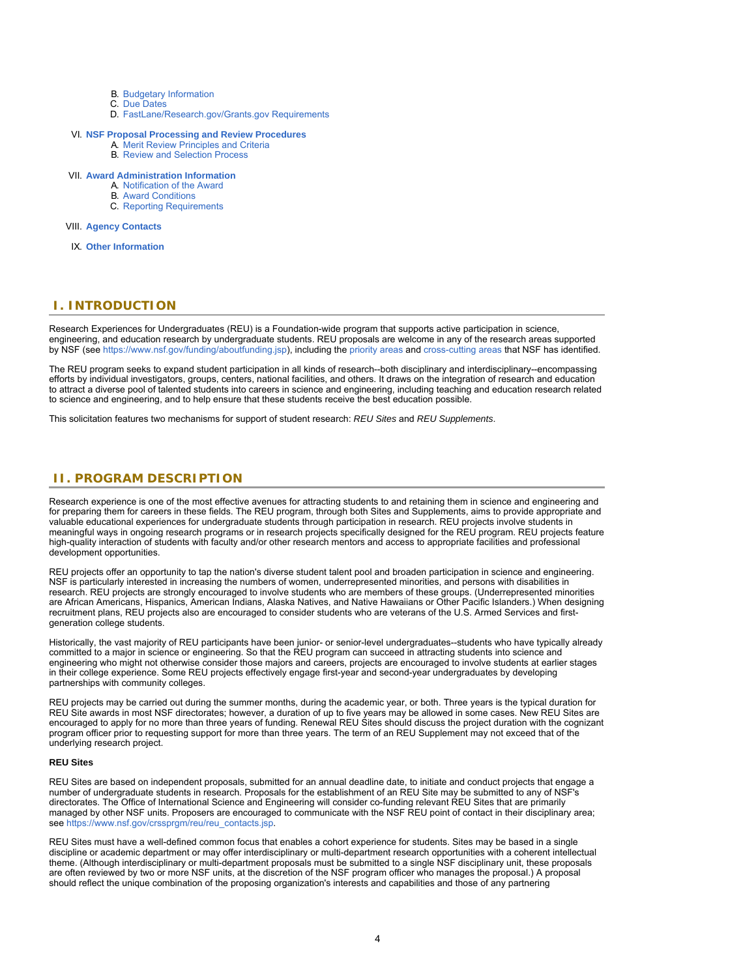- B. [Budgetary Information](#page-9-0)
- C. [Due Dates](#page-10-0)
- D. [FastLane/Research.gov/Grants.gov Requirements](#page-10-1)

### VI. **[NSF Proposal Processing and Review Procedures](#page-10-2)**

- A. [Merit Review Principles and Criteria](#page-11-0)
- B. [Review and Selection Process](#page-12-0)

### VII. **[Award Administration Information](#page-12-1)**

- A. [Notification of the Award](#page-12-2)
- B. [Award Conditions](#page-12-3)
- C. [Reporting Requirements](#page-13-0)

### VIII. **[Agency Contacts](#page-13-1)**

IX. **[Other Information](#page-13-2)**

### <span id="page-3-0"></span>**I. INTRODUCTION**

Research Experiences for Undergraduates (REU) is a Foundation-wide program that supports active participation in science, engineering, and education research by undergraduate students. REU proposals are welcome in any of the research areas supported by NSF (see<https://www.nsf.gov/funding/aboutfunding.jsp>), including the [priority areas](https://www.nsf.gov/news/special_reports/big_ideas/index.jsp) and [cross-cutting areas](https://www.nsf.gov/funding/pgm_list.jsp?type=xcut) that NSF has identified.

The REU program seeks to expand student participation in all kinds of research--both disciplinary and interdisciplinary--encompassing efforts by individual investigators, groups, centers, national facilities, and others. It draws on the integration of research and education to attract a diverse pool of talented students into careers in science and engineering, including teaching and education research related to science and engineering, and to help ensure that these students receive the best education possible.

This solicitation features two mechanisms for support of student research: *REU Sites* and *REU Supplements*.

### <span id="page-3-1"></span>**II. PROGRAM DESCRIPTION**

Research experience is one of the most effective avenues for attracting students to and retaining them in science and engineering and for preparing them for careers in these fields. The REU program, through both Sites and Supplements, aims to provide appropriate and valuable educational experiences for undergraduate students through participation in research. REU projects involve students in meaningful ways in ongoing research programs or in research projects specifically designed for the REU program. REU projects feature high-quality interaction of students with faculty and/or other research mentors and access to appropriate facilities and professional development opportunities.

REU projects offer an opportunity to tap the nation's diverse student talent pool and broaden participation in science and engineering. NSF is particularly interested in increasing the numbers of women, underrepresented minorities, and persons with disabilities in research. REU projects are strongly encouraged to involve students who are members of these groups. (Underrepresented minorities are African Americans, Hispanics, American Indians, Alaska Natives, and Native Hawaiians or Other Pacific Islanders.) When designing recruitment plans, REU projects also are encouraged to consider students who are veterans of the U.S. Armed Services and firstgeneration college students.

Historically, the vast majority of REU participants have been junior- or senior-level undergraduates--students who have typically already committed to a major in science or engineering. So that the REU program can succeed in attracting students into science and engineering who might not otherwise consider those majors and careers, projects are encouraged to involve students at earlier stages in their college experience. Some REU projects effectively engage first-year and second-year undergraduates by developing partnerships with community colleges.

REU projects may be carried out during the summer months, during the academic year, or both. Three years is the typical duration for REU Site awards in most NSF directorates; however, a duration of up to five years may be allowed in some cases. New REU Sites are encouraged to apply for no more than three years of funding. Renewal REU Sites should discuss the project duration with the cognizant program officer prior to requesting support for more than three years. The term of an REU Supplement may not exceed that of the underlying research project.

### **REU Sites**

REU Sites are based on independent proposals, submitted for an annual deadline date, to initiate and conduct projects that engage a number of undergraduate students in research. Proposals for the establishment of an REU Site may be submitted to any of NSF's directorates. The Office of International Science and Engineering will consider co-funding relevant REU Sites that are primarily managed by other NSF units. Proposers are encouraged to communicate with the NSF REU point of contact in their disciplinary area; see https://www.nsf.gov/crsspram/reu/reu\_contacts.jsp.

REU Sites must have a well-defined common focus that enables a cohort experience for students. Sites may be based in a single discipline or academic department or may offer interdisciplinary or multi-department research opportunities with a coherent intellectual theme. (Although interdisciplinary or multi-department proposals must be submitted to a single NSF disciplinary unit, these proposals are often reviewed by two or more NSF units, at the discretion of the NSF program officer who manages the proposal.) A proposal should reflect the unique combination of the proposing organization's interests and capabilities and those of any partnering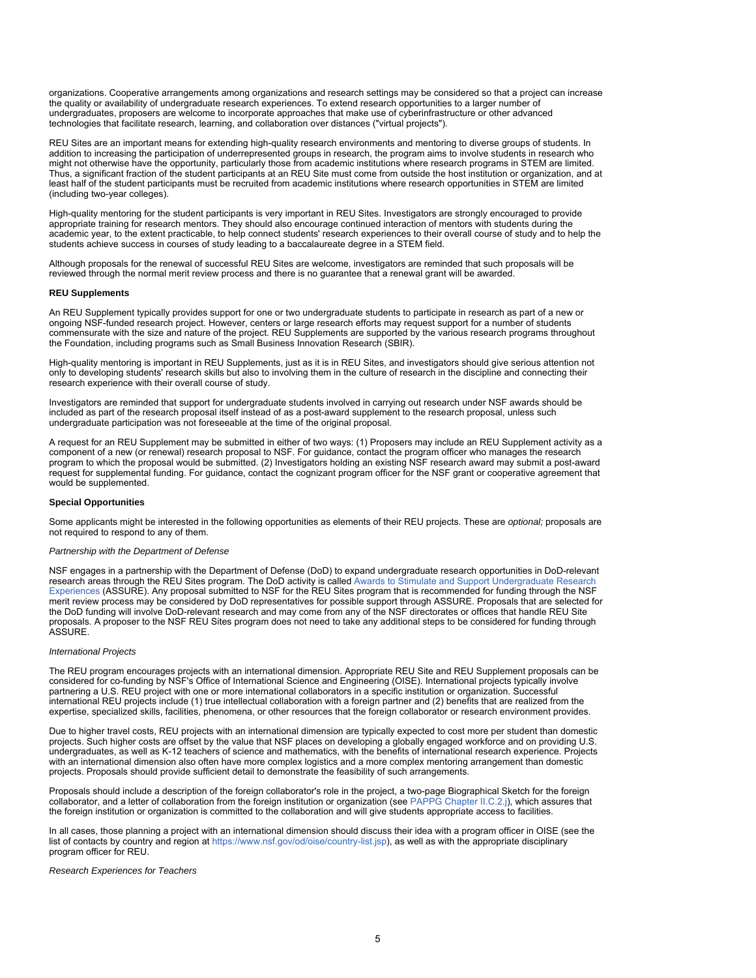organizations. Cooperative arrangements among organizations and research settings may be considered so that a project can increase the quality or availability of undergraduate research experiences. To extend research opportunities to a larger number of undergraduates, proposers are welcome to incorporate approaches that make use of cyberinfrastructure or other advanced technologies that facilitate research, learning, and collaboration over distances ("virtual projects").

REU Sites are an important means for extending high-quality research environments and mentoring to diverse groups of students. In addition to increasing the participation of underrepresented groups in research, the program aims to involve students in research who might not otherwise have the opportunity, particularly those from academic institutions where research programs in STEM are limited. Thus, a significant fraction of the student participants at an REU Site must come from outside the host institution or organization, and at least half of the student participants must be recruited from academic institutions where research opportunities in STEM are limited (including two-year colleges).

High-quality mentoring for the student participants is very important in REU Sites. Investigators are strongly encouraged to provide appropriate training for research mentors. They should also encourage continued interaction of mentors with students during the academic year, to the extent practicable, to help connect students' research experiences to their overall course of study and to help the students achieve success in courses of study leading to a baccalaureate degree in a STEM field.

Although proposals for the renewal of successful REU Sites are welcome, investigators are reminded that such proposals will be reviewed through the normal merit review process and there is no guarantee that a renewal grant will be awarded.

### **REU Supplements**

An REU Supplement typically provides support for one or two undergraduate students to participate in research as part of a new or ongoing NSF-funded research project. However, centers or large research efforts may request support for a number of students commensurate with the size and nature of the project. REU Supplements are supported by the various research programs throughout the Foundation, including programs such as Small Business Innovation Research (SBIR).

High-quality mentoring is important in REU Supplements, just as it is in REU Sites, and investigators should give serious attention not only to developing students' research skills but also to involving them in the culture of research in the discipline and connecting their research experience with their overall course of study.

Investigators are reminded that support for undergraduate students involved in carrying out research under NSF awards should be included as part of the research proposal itself instead of as a post-award supplement to the research proposal, unless such undergraduate participation was not foreseeable at the time of the original proposal.

A request for an REU Supplement may be submitted in either of two ways: (1) Proposers may include an REU Supplement activity as a component of a new (or renewal) research proposal to NSF. For guidance, contact the program officer who manages the research program to which the proposal would be submitted. (2) Investigators holding an existing NSF research award may submit a post-award request for supplemental funding. For guidance, contact the cognizant program officer for the NSF grant or cooperative agreement that would be supplemented.

### **Special Opportunities**

Some applicants might be interested in the following opportunities as elements of their REU projects. These are *optional;* proposals are not required to respond to any of them.

### *Partnership with the Department of Defense*

NSF engages in a partnership with the Department of Defense (DoD) to expand undergraduate research opportunities in DoD-relevant research areas through the REU Sites program. The DoD activity is called [Awards to Stimulate and Support Undergraduate Research](https://www.wpafb.af.mil/Welcome/Fact-Sheets/Display/Article/842058/afosr-funding-opportunities-educational-programs/#anchor2) [Experiences](https://www.wpafb.af.mil/Welcome/Fact-Sheets/Display/Article/842058/afosr-funding-opportunities-educational-programs/#anchor2) (ASSURE). Any proposal submitted to NSF for the REU Sites program that is recommended for funding through the NSF merit review process may be considered by DoD representatives for possible support through ASSURE. Proposals that are selected for the DoD funding will involve DoD-relevant research and may come from any of the NSF directorates or offices that handle REU Site proposals. A proposer to the NSF REU Sites program does not need to take any additional steps to be considered for funding through ASSURE.

### *International Projects*

The REU program encourages projects with an international dimension. Appropriate REU Site and REU Supplement proposals can be considered for co-funding by NSF's Office of International Science and Engineering (OISE). International projects typically involve partnering a U.S. REU project with one or more international collaborators in a specific institution or organization. Successful international REU projects include (1) true intellectual collaboration with a foreign partner and (2) benefits that are realized from the expertise, specialized skills, facilities, phenomena, or other resources that the foreign collaborator or research environment provides.

Due to higher travel costs, REU projects with an international dimension are typically expected to cost more per student than domestic projects. Such higher costs are offset by the value that NSF places on developing a globally engaged workforce and on providing U.S. undergraduates, as well as K-12 teachers of science and mathematics, with the benefits of international research experience. Projects with an international dimension also often have more complex logistics and a more complex mentoring arrangement than domestic projects. Proposals should provide sufficient detail to demonstrate the feasibility of such arrangements.

Proposals should include a description of the foreign collaborator's role in the project, a two-page Biographical Sketch for the foreign collaborator, and a letter of collaboration from the foreign institution or organization (see [PAPPG Chapter II.C.2.j](https://www.nsf.gov/publications/pub_summ.jsp?ods_key=pappg)), which assures that the foreign institution or organization is committed to the collaboration and will give students appropriate access to facilities.

In all cases, those planning a project with an international dimension should discuss their idea with a program officer in OISE (see the list of contacts by country and region at <https://www.nsf.gov/od/oise/country-list.jsp>), as well as with the appropriate disciplinary program officer for REU.

*Research Experiences for Teachers*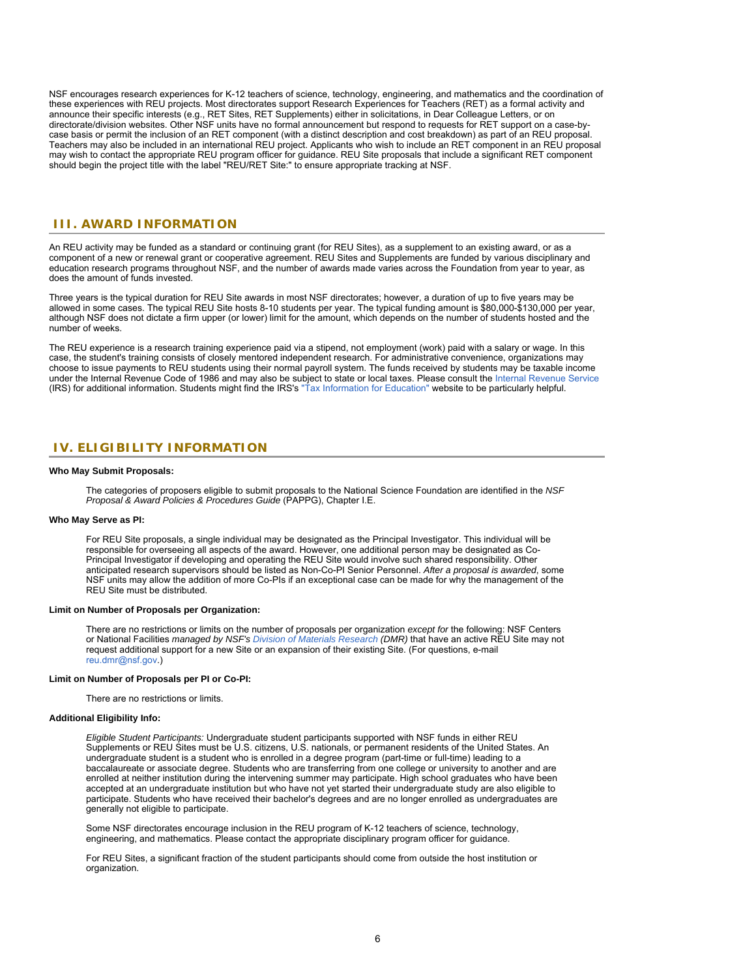NSF encourages research experiences for K-12 teachers of science, technology, engineering, and mathematics and the coordination of these experiences with REU projects. Most directorates support Research Experiences for Teachers (RET) as a formal activity and announce their specific interests (e.g., RET Sites, RET Supplements) either in solicitations, in Dear Colleague Letters, or on directorate/division websites. Other NSF units have no formal announcement but respond to requests for RET support on a case-bycase basis or permit the inclusion of an RET component (with a distinct description and cost breakdown) as part of an REU proposal. Teachers may also be included in an international REU project. Applicants who wish to include an RET component in an REU proposal may wish to contact the appropriate REU program officer for guidance. REU Site proposals that include a significant RET component should begin the project title with the label "REU/RET Site:" to ensure appropriate tracking at NSF.

### <span id="page-5-0"></span>**III. AWARD INFORMATION**

An REU activity may be funded as a standard or continuing grant (for REU Sites), as a supplement to an existing award, or as a component of a new or renewal grant or cooperative agreement. REU Sites and Supplements are funded by various disciplinary and education research programs throughout NSF, and the number of awards made varies across the Foundation from year to year, as does the amount of funds invested.

Three years is the typical duration for REU Site awards in most NSF directorates; however, a duration of up to five years may be allowed in some cases. The typical REU Site hosts 8-10 students per year. The typical funding amount is \$80,000-\$130,000 per year, although NSF does not dictate a firm upper (or lower) limit for the amount, which depends on the number of students hosted and the number of weeks.

The REU experience is a research training experience paid via a stipend, not employment (work) paid with a salary or wage. In this case, the student's training consists of closely mentored independent research. For administrative convenience, organizations may choose to issue payments to REU students using their normal payroll system. The funds received by students may be taxable income under the Internal Revenue Code of 1986 and may also be subject to state or local taxes. Please consult the [Internal Revenue Service](https://www.irs.gov/) (IRS) for additional information. Students might find the IRS's ["Tax Information for Education"](https://www.irs.gov/newsroom/tax-benefits-for-education-information-center) website to be particularly helpful.

### <span id="page-5-1"></span>**IV. ELIGIBILITY INFORMATION**

#### **Who May Submit Proposals:**

The categories of proposers eligible to submit proposals to the National Science Foundation are identified in the *NSF Proposal & Award Policies & Procedures Guide* (PAPPG), Chapter I.E.

#### **Who May Serve as PI:**

For REU Site proposals, a single individual may be designated as the Principal Investigator. This individual will be responsible for overseeing all aspects of the award. However, one additional person may be designated as Co-Principal Investigator if developing and operating the REU Site would involve such shared responsibility. Other anticipated research supervisors should be listed as Non-Co-PI Senior Personnel. *After a proposal is awarded*, some NSF units may allow the addition of more Co-PIs if an exceptional case can be made for why the management of the REU Site must be distributed.

#### **Limit on Number of Proposals per Organization:**

There are no restrictions or limits on the number of proposals per organization *except for* the following: NSF Centers or National Facilities *managed by NSF's [Division of Materials Research](https://www.nsf.gov/div/index.jsp?div=DMR) (DMR)* that have an active REU Site may not request additional support for a new Site or an expansion of their existing Site. (For questions, e-mail [reu.dmr@nsf.gov](mailto:reu.dmr@nsf.gov).)

#### **Limit on Number of Proposals per PI or Co-PI:**

There are no restrictions or limits.

### **Additional Eligibility Info:**

*Eligible Student Participants:* Undergraduate student participants supported with NSF funds in either REU Supplements or REU Sites must be U.S. citizens, U.S. nationals, or permanent residents of the United States. An undergraduate student is a student who is enrolled in a degree program (part-time or full-time) leading to a baccalaureate or associate degree. Students who are transferring from one college or university to another and are enrolled at neither institution during the intervening summer may participate. High school graduates who have been accepted at an undergraduate institution but who have not yet started their undergraduate study are also eligible to participate. Students who have received their bachelor's degrees and are no longer enrolled as undergraduates are generally not eligible to participate.

Some NSF directorates encourage inclusion in the REU program of K-12 teachers of science, technology, engineering, and mathematics. Please contact the appropriate disciplinary program officer for guidance.

For REU Sites, a significant fraction of the student participants should come from outside the host institution or organization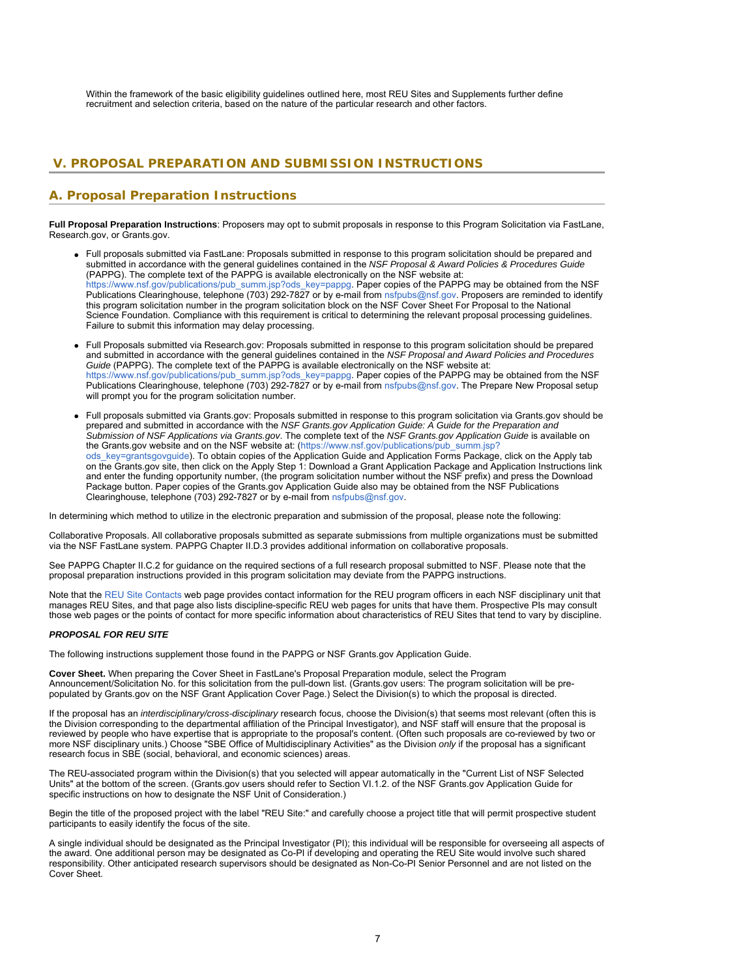Within the framework of the basic eligibility guidelines outlined here, most REU Sites and Supplements further define recruitment and selection criteria, based on the nature of the particular research and other factors.

### <span id="page-6-0"></span>**V. PROPOSAL PREPARATION AND SUBMISSION INSTRUCTIONS**

# **A. Proposal Preparation Instructions**

**Full Proposal Preparation Instructions**: Proposers may opt to submit proposals in response to this Program Solicitation via FastLane, Research.gov, or Grants.gov.

- Full proposals submitted via FastLane: Proposals submitted in response to this program solicitation should be prepared and submitted in accordance with the general guidelines contained in the *NSF Proposal & Award Policies & Procedures Guide* (PAPPG). The complete text of the PAPPG is available electronically on the NSF website at: [https://www.nsf.gov/publications/pub\\_summ.jsp?ods\\_key=pappg.](https://www.nsf.gov/publications/pub_summ.jsp?ods_key=pappg) Paper copies of the PAPPG may be obtained from the NSF Publications Clearinghouse, telephone (703) 292-7827 or by e-mail from [nsfpubs@nsf.gov](mailto:nsfpubs@nsf.gov). Proposers are reminded to identify this program solicitation number in the program solicitation block on the NSF Cover Sheet For Proposal to the National Science Foundation. Compliance with this requirement is critical to determining the relevant proposal processing guidelines. Failure to submit this information may delay processing.
- Full Proposals submitted via Research.gov: Proposals submitted in response to this program solicitation should be prepared and submitted in accordance with the general guidelines contained in the *NSF Proposal and Award Policies and Procedures Guide* (PAPPG). The complete text of the PAPPG is available electronically on the NSF website at: [https://www.nsf.gov/publications/pub\\_summ.jsp?ods\\_key=pappg.](https://www.nsf.gov/publications/pub_summ.jsp?ods_key=pappg) Paper copies of the PAPPG may be obtained from the NSF Publications Clearinghouse, telephone (703) 292-7827 or by e-mail from [nsfpubs@nsf.gov](mailto:nsfpubs@nsf.gov). The Prepare New Proposal setup will prompt you for the program solicitation number.
- Full proposals submitted via Grants.gov: Proposals submitted in response to this program solicitation via Grants.gov should be prepared and submitted in accordance with the *NSF Grants.gov Application Guide: A Guide for the Preparation and Submission of NSF Applications via Grants.gov*. The complete text of the *NSF Grants.gov Application Guide* is available on the Grants.gov website and on the NSF website at: [\(https://www.nsf.gov/publications/pub\\_summ.jsp?](https://www.nsf.gov/publications/pub_summ.jsp?ods_key=grantsgovguide) [ods\\_key=grantsgovguide](https://www.nsf.gov/publications/pub_summ.jsp?ods_key=grantsgovguide)). To obtain copies of the Application Guide and Application Forms Package, click on the Apply tab on the Grants.gov site, then click on the Apply Step 1: Download a Grant Application Package and Application Instructions link and enter the funding opportunity number, (the program solicitation number without the NSF prefix) and press the Download Package button. Paper copies of the Grants.gov Application Guide also may be obtained from the NSF Publications Clearinghouse, telephone (703) 292-7827 or by e-mail from [nsfpubs@nsf.gov](mailto:nsfpubs@nsf.gov).

In determining which method to utilize in the electronic preparation and submission of the proposal, please note the following:

Collaborative Proposals. All collaborative proposals submitted as separate submissions from multiple organizations must be submitted via the NSF FastLane system. PAPPG Chapter II.D.3 provides additional information on collaborative proposals.

See PAPPG Chapter II.C.2 for guidance on the required sections of a full research proposal submitted to NSF. Please note that the proposal preparation instructions provided in this program solicitation may deviate from the PAPPG instructions.

Note that the [REU Site Contacts](https://www.nsf.gov/crssprgm/reu/reu_contacts.jsp) web page provides contact information for the REU program officers in each NSF disciplinary unit that manages REU Sites, and that page also lists discipline-specific REU web pages for units that have them. Prospective PIs may consult those web pages or the points of contact for more specific information about characteristics of REU Sites that tend to vary by discipline.

### *PROPOSAL FOR REU SITE*

The following instructions supplement those found in the PAPPG or NSF Grants.gov Application Guide.

**Cover Sheet.** When preparing the Cover Sheet in FastLane's Proposal Preparation module, select the Program Announcement/Solicitation No. for this solicitation from the pull-down list. (Grants.gov users: The program solicitation will be prepopulated by Grants.gov on the NSF Grant Application Cover Page.) Select the Division(s) to which the proposal is directed.

If the proposal has an *interdisciplinary/cross-disciplinary* research focus, choose the Division(s) that seems most relevant (often this is the Division corresponding to the departmental affiliation of the Principal Investigator), and NSF staff will ensure that the proposal is reviewed by people who have expertise that is appropriate to the proposal's content. (Often such proposals are co-reviewed by two or more NSF disciplinary units.) Choose "SBE Office of Multidisciplinary Activities" as the Division *only* if the proposal has a significant research focus in SBE (social, behavioral, and economic sciences) areas.

The REU-associated program within the Division(s) that you selected will appear automatically in the "Current List of NSF Selected Units" at the bottom of the screen. (Grants.gov users should refer to Section VI.1.2. of the NSF Grants.gov Application Guide for specific instructions on how to designate the NSF Unit of Consideration.)

Begin the title of the proposed project with the label "REU Site:" and carefully choose a project title that will permit prospective student participants to easily identify the focus of the site.

A single individual should be designated as the Principal Investigator (PI); this individual will be responsible for overseeing all aspects of the award. One additional person may be designated as Co-PI if developing and operating the REU Site would involve such shared responsibility. Other anticipated research supervisors should be designated as Non-Co-PI Senior Personnel and are not listed on the Cover Sheet.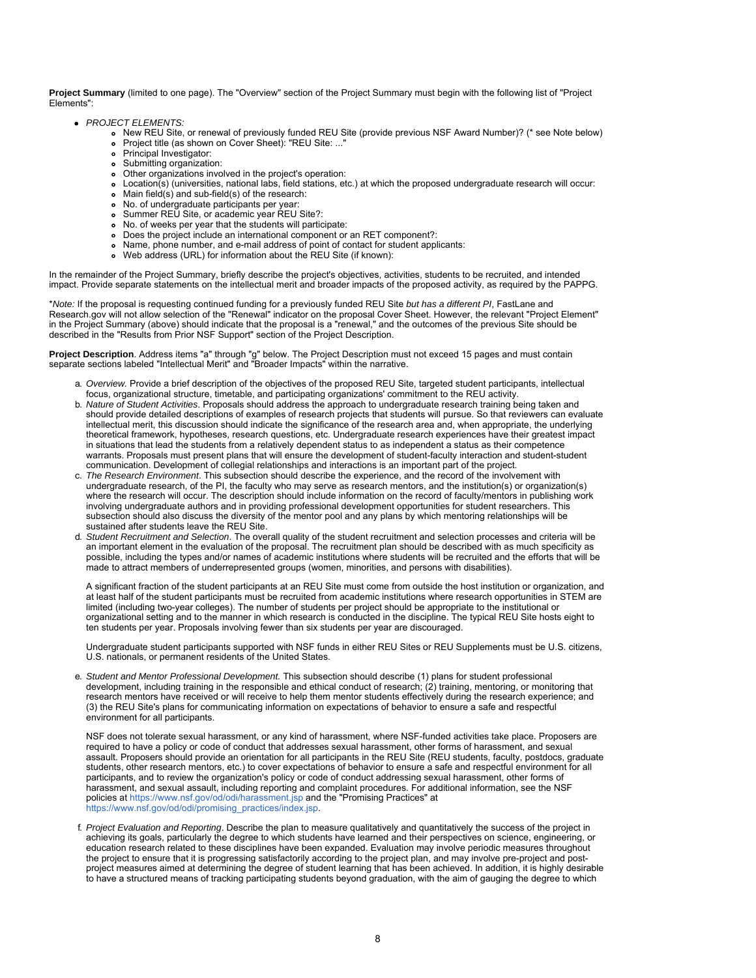**Project Summary** (limited to one page). The "Overview" section of the Project Summary must begin with the following list of "Project Elements":

- *PROJECT ELEMENTS:*
	- New REU Site, or renewal of previously funded REU Site (provide previous NSF Award Number)? (\* see Note below)
	- Project title (as shown on Cover Sheet): "REU Site: ..."
	- Principal Investigator:
	- Submitting organization:
	- Other organizations involved in the project's operation:
	- Location(s) (universities, national labs, field stations, etc.) at which the proposed undergraduate research will occur:
	- Main field(s) and sub-field(s) of the research:
	- No. of undergraduate participants per year:
	- Summer REU Site, or academic year REU Site?:
	- No. of weeks per year that the students will participate:
	- Does the project include an international component or an RET component?:
	- Name, phone number, and e-mail address of point of contact for student applicants:
		- Web address (URL) for information about the REU Site (if known):  $\bullet$

In the remainder of the Project Summary, briefly describe the project's objectives, activities, students to be recruited, and intended impact. Provide separate statements on the intellectual merit and broader impacts of the proposed activity, as required by the PAPPG.

\**Note:* If the proposal is requesting continued funding for a previously funded REU Site *but has a different PI*, FastLane and Research.gov will not allow selection of the "Renewal" indicator on the proposal Cover Sheet. However, the relevant "Project Element" in the Project Summary (above) should indicate that the proposal is a "renewal," and the outcomes of the previous Site should be described in the "Results from Prior NSF Support" section of the Project Description.

**Project Description**. Address items "a" through "g" below. The Project Description must not exceed 15 pages and must contain separate sections labeled "Intellectual Merit" and "Broader Impacts" within the narrative.

- a. *Overview.* Provide a brief description of the objectives of the proposed REU Site, targeted student participants, intellectual focus, organizational structure, timetable, and participating organizations' commitment to the REU activity.
- b. *Nature of Student Activities*. Proposals should address the approach to undergraduate research training being taken and should provide detailed descriptions of examples of research projects that students will pursue. So that reviewers can evaluate intellectual merit, this discussion should indicate the significance of the research area and, when appropriate, the underlying theoretical framework, hypotheses, research questions, etc. Undergraduate research experiences have their greatest impact in situations that lead the students from a relatively dependent status to as independent a status as their competence warrants. Proposals must present plans that will ensure the development of student-faculty interaction and student-student communication. Development of collegial relationships and interactions is an important part of the project.
- c. *The Research Environment*. This subsection should describe the experience, and the record of the involvement with undergraduate research, of the PI, the faculty who may serve as research mentors, and the institution(s) or organization(s) where the research will occur. The description should include information on the record of faculty/mentors in publishing work involving undergraduate authors and in providing professional development opportunities for student researchers. This subsection should also discuss the diversity of the mentor pool and any plans by which mentoring relationships will be sustained after students leave the REU Site.
- d. *Student Recruitment and Selection*. The overall quality of the student recruitment and selection processes and criteria will be an important element in the evaluation of the proposal. The recruitment plan should be described with as much specificity as possible, including the types and/or names of academic institutions where students will be recruited and the efforts that will be made to attract members of underrepresented groups (women, minorities, and persons with disabilities).

A significant fraction of the student participants at an REU Site must come from outside the host institution or organization, and at least half of the student participants must be recruited from academic institutions where research opportunities in STEM are limited (including two-year colleges). The number of students per project should be appropriate to the institutional or organizational setting and to the manner in which research is conducted in the discipline. The typical REU Site hosts eight to ten students per year. Proposals involving fewer than six students per year are discouraged.

Undergraduate student participants supported with NSF funds in either REU Sites or REU Supplements must be U.S. citizens, U.S. nationals, or permanent residents of the United States.

e. *Student and Mentor Professional Development.* This subsection should describe (1) plans for student professional development, including training in the responsible and ethical conduct of research; (2) training, mentoring, or monitoring that research mentors have received or will receive to help them mentor students effectively during the research experience; and (3) the REU Site's plans for communicating information on expectations of behavior to ensure a safe and respectful environment for all participants.

NSF does not tolerate sexual harassment, or any kind of harassment, where NSF-funded activities take place. Proposers are required to have a policy or code of conduct that addresses sexual harassment, other forms of harassment, and sexual assault. Proposers should provide an orientation for all participants in the REU Site (REU students, faculty, postdocs, graduate students, other research mentors, etc.) to cover expectations of behavior to ensure a safe and respectful environment for all participants, and to review the organization's policy or code of conduct addressing sexual harassment, other forms of harassment, and sexual assault, including reporting and complaint procedures. For additional information, see the NSF policies at<https://www.nsf.gov/od/odi/harassment.jsp> and the "Promising Practices" at [https://www.nsf.gov/od/odi/promising\\_practices/index.jsp.](https://www.nsf.gov/od/odi/promising_practices/index.jsp)

f. *Project Evaluation and Reporting*. Describe the plan to measure qualitatively and quantitatively the success of the project in achieving its goals, particularly the degree to which students have learned and their perspectives on science, engineering, or education research related to these disciplines have been expanded. Evaluation may involve periodic measures throughout the project to ensure that it is progressing satisfactorily according to the project plan, and may involve pre-project and postproject measures aimed at determining the degree of student learning that has been achieved. In addition, it is highly desirable to have a structured means of tracking participating students beyond graduation, with the aim of gauging the degree to which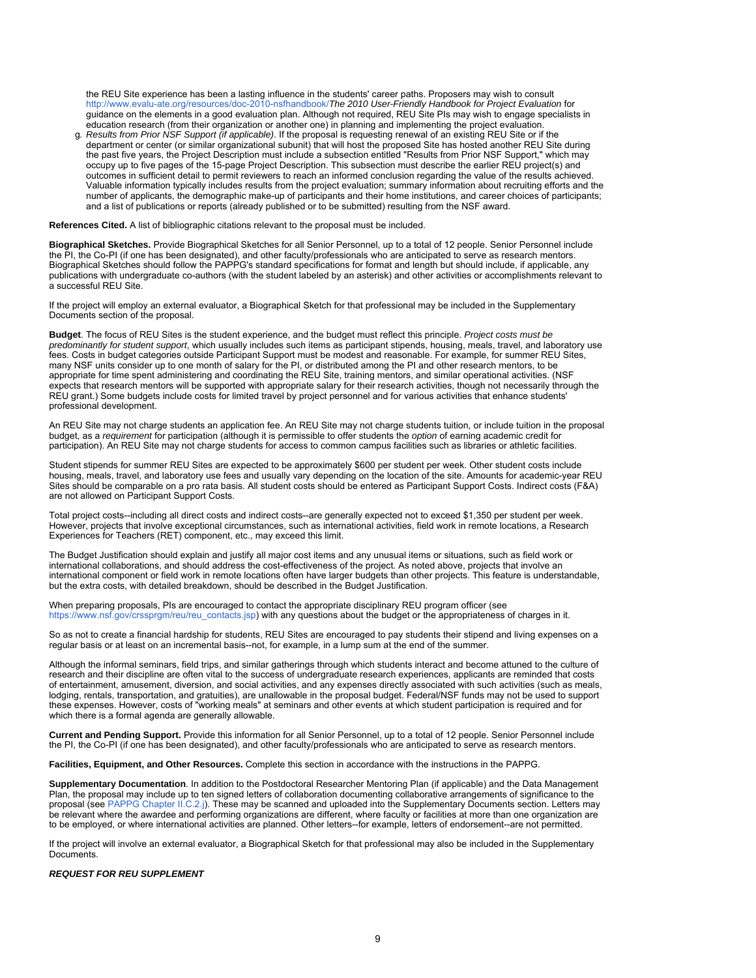the REU Site experience has been a lasting influence in the students' career paths. Proposers may wish to consult [http://www.evalu-ate.org/resources/doc-2010-nsfhandbook/](https://www.nsf.gov/cgi-bin/goodbye?http://www.evalu-ate.org/resources/doc-2010-nsfhandbook/)*The 2010 User-Friendly Handbook for Project Evaluation* for guidance on the elements in a good evaluation plan. Although not required, REU Site PIs may wish to engage specialists in education research (from their organization or another one) in planning and implementing the project evaluation.

g. *Results from Prior NSF Support (if applicable)*. If the proposal is requesting renewal of an existing REU Site or if the department or center (or similar organizational subunit) that will host the proposed Site has hosted another REU Site during the past five years, the Project Description must include a subsection entitled "Results from Prior NSF Support," which may occupy up to five pages of the 15-page Project Description. This subsection must describe the earlier REU project(s) and outcomes in sufficient detail to permit reviewers to reach an informed conclusion regarding the value of the results achieved. Valuable information typically includes results from the project evaluation; summary information about recruiting efforts and the number of applicants, the demographic make-up of participants and their home institutions, and career choices of participants; and a list of publications or reports (already published or to be submitted) resulting from the NSF award.

**References Cited.** A list of bibliographic citations relevant to the proposal must be included.

**Biographical Sketches.** Provide Biographical Sketches for all Senior Personnel, up to a total of 12 people. Senior Personnel include the PI, the Co-PI (if one has been designated), and other faculty/professionals who are anticipated to serve as research mentors. Biographical Sketches should follow the PAPPG's standard specifications for format and length but should include, if applicable, any publications with undergraduate co-authors (with the student labeled by an asterisk) and other activities or accomplishments relevant to a successful REU Site.

If the project will employ an external evaluator, a Biographical Sketch for that professional may be included in the Supplementary Documents section of the proposal.

**Budget**. The focus of REU Sites is the student experience, and the budget must reflect this principle. *Project costs must be predominantly for student support*, which usually includes such items as participant stipends, housing, meals, travel, and laboratory use fees. Costs in budget categories outside Participant Support must be modest and reasonable. For example, for summer REU Sites, many NSF units consider up to one month of salary for the PI, or distributed among the PI and other research mentors, to be appropriate for time spent administering and coordinating the REU Site, training mentors, and similar operational activities. (NSF expects that research mentors will be supported with appropriate salary for their research activities, though not necessarily through the REU grant.) Some budgets include costs for limited travel by project personnel and for various activities that enhance students' professional development.

An REU Site may not charge students an application fee. An REU Site may not charge students tuition, or include tuition in the proposal budget, as a *requirement* for participation (although it is permissible to offer students the *option* of earning academic credit for participation). An REU Site may not charge students for access to common campus facilities such as libraries or athletic facilities.

Student stipends for summer REU Sites are expected to be approximately \$600 per student per week. Other student costs include housing, meals, travel, and laboratory use fees and usually vary depending on the location of the site. Amounts for academic-year REU Sites should be comparable on a pro rata basis. All student costs should be entered as Participant Support Costs. Indirect costs (F&A) are not allowed on Participant Support Costs.

Total project costs--including all direct costs and indirect costs--are generally expected not to exceed \$1,350 per student per week. However, projects that involve exceptional circumstances, such as international activities, field work in remote locations, a Research Experiences for Teachers (RET) component, etc., may exceed this limit.

The Budget Justification should explain and justify all major cost items and any unusual items or situations, such as field work or international collaborations, and should address the cost-effectiveness of the project. As noted above, projects that involve an international component or field work in remote locations often have larger budgets than other projects. This feature is understandable, but the extra costs, with detailed breakdown, should be described in the Budget Justification.

When preparing proposals, PIs are encouraged to contact the appropriate disciplinary REU program officer (see [https://www.nsf.gov/crssprgm/reu/reu\\_contacts.jsp](https://www.nsf.gov/crssprgm/reu/reu_contacts.jsp)) with any questions about the budget or the appropriateness of charges in it.

So as not to create a financial hardship for students, REU Sites are encouraged to pay students their stipend and living expenses on a regular basis or at least on an incremental basis--not, for example, in a lump sum at the end of the summer.

Although the informal seminars, field trips, and similar gatherings through which students interact and become attuned to the culture of research and their discipline are often vital to the success of undergraduate research experiences, applicants are reminded that costs of entertainment, amusement, diversion, and social activities, and any expenses directly associated with such activities (such as meals, lodging, rentals, transportation, and gratuities), are unallowable in the proposal budget. Federal/NSF funds may not be used to support these expenses. However, costs of "working meals" at seminars and other events at which student participation is required and for which there is a formal agenda are generally allowable.

**Current and Pending Support.** Provide this information for all Senior Personnel, up to a total of 12 people. Senior Personnel include the PI, the Co-PI (if one has been designated), and other faculty/professionals who are anticipated to serve as research mentors.

**Facilities, Equipment, and Other Resources.** Complete this section in accordance with the instructions in the PAPPG.

**Supplementary Documentation**. In addition to the Postdoctoral Researcher Mentoring Plan (if applicable) and the Data Management Plan, the proposal may include up to ten signed letters of collaboration documenting collaborative arrangements of significance to the proposal (see [PAPPG Chapter II.C.2.j](https://www.nsf.gov/publications/pub_summ.jsp?ods_key=pappg)). These may be scanned and uploaded into the Supplementary Documents section. Letters may be relevant where the awardee and performing organizations are different, where faculty or facilities at more than one organization are to be employed, or where international activities are planned. Other letters--for example, letters of endorsement--are not permitted.

If the project will involve an external evaluator, a Biographical Sketch for that professional may also be included in the Supplementary Documents.

### *REQUEST FOR REU SUPPLEMENT*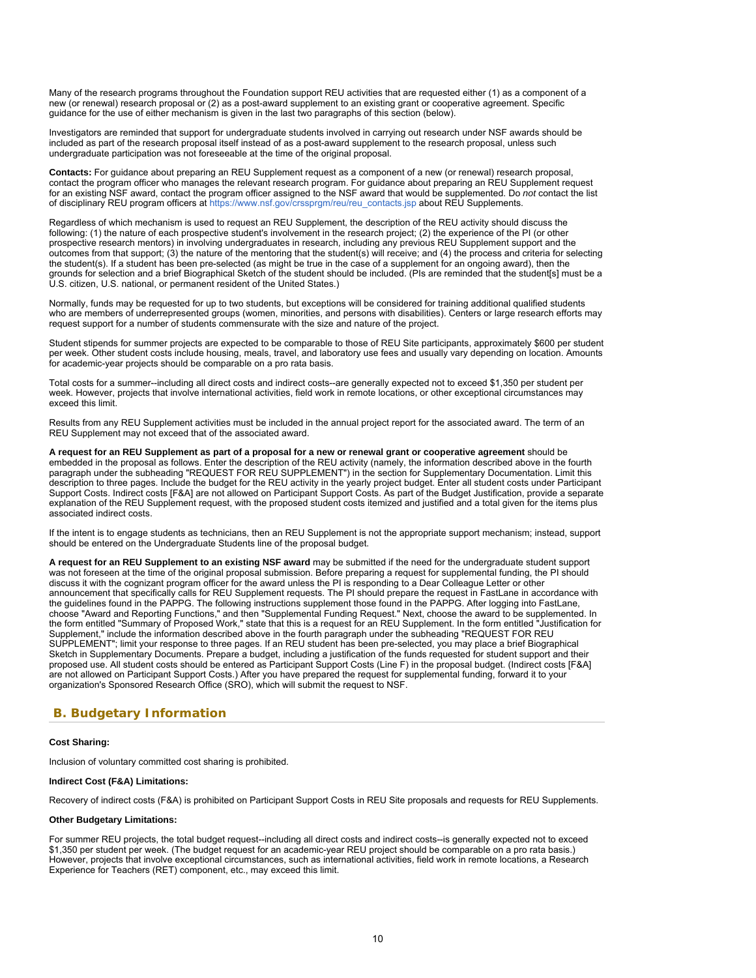Many of the research programs throughout the Foundation support REU activities that are requested either (1) as a component of a new (or renewal) research proposal or (2) as a post-award supplement to an existing grant or cooperative agreement. Specific guidance for the use of either mechanism is given in the last two paragraphs of this section (below).

Investigators are reminded that support for undergraduate students involved in carrying out research under NSF awards should be included as part of the research proposal itself instead of as a post-award supplement to the research proposal, unless such undergraduate participation was not foreseeable at the time of the original proposal.

**Contacts:** For guidance about preparing an REU Supplement request as a component of a new (or renewal) research proposal, contact the program officer who manages the relevant research program. For guidance about preparing an REU Supplement request for an existing NSF award, contact the program officer assigned to the NSF award that would be supplemented. Do *not* contact the list of disciplinary REU program officers at [https://www.nsf.gov/crssprgm/reu/reu\\_contacts.jsp](https://www.nsf.gov/crssprgm/reu/reu_contacts.jsp) about REU Supplements.

Regardless of which mechanism is used to request an REU Supplement, the description of the REU activity should discuss the following: (1) the nature of each prospective student's involvement in the research project; (2) the experience of the PI (or other prospective research mentors) in involving undergraduates in research, including any previous REU Supplement support and the outcomes from that support; (3) the nature of the mentoring that the student(s) will receive; and (4) the process and criteria for selecting the student(s). If a student has been pre-selected (as might be true in the case of a supplement for an ongoing award), then the grounds for selection and a brief Biographical Sketch of the student should be included. (PIs are reminded that the student[s] must be a U.S. citizen, U.S. national, or permanent resident of the United States.)

Normally, funds may be requested for up to two students, but exceptions will be considered for training additional qualified students who are members of underrepresented groups (women, minorities, and persons with disabilities). Centers or large research efforts may request support for a number of students commensurate with the size and nature of the project.

Student stipends for summer projects are expected to be comparable to those of REU Site participants, approximately \$600 per student per week. Other student costs include housing, meals, travel, and laboratory use fees and usually vary depending on location. Amounts for academic-year projects should be comparable on a pro rata basis.

Total costs for a summer--including all direct costs and indirect costs--are generally expected not to exceed \$1,350 per student per week. However, projects that involve international activities, field work in remote locations, or other exceptional circumstances may exceed this limit.

Results from any REU Supplement activities must be included in the annual project report for the associated award. The term of an REU Supplement may not exceed that of the associated award.

**A request for an REU Supplement as part of a proposal for a new or renewal grant or cooperative agreement** should be embedded in the proposal as follows. Enter the description of the REU activity (namely, the information described above in the fourth paragraph under the subheading "REQUEST FOR REU SUPPLEMENT") in the section for Supplementary Documentation. Limit this description to three pages. Include the budget for the REU activity in the yearly project budget. Enter all student costs under Participant Support Costs. Indirect costs [F&A] are not allowed on Participant Support Costs. As part of the Budget Justification, provide a separate explanation of the REU Supplement request, with the proposed student costs itemized and justified and a total given for the items plus associated indirect costs.

If the intent is to engage students as technicians, then an REU Supplement is not the appropriate support mechanism; instead, support should be entered on the Undergraduate Students line of the proposal budget.

**A request for an REU Supplement to an existing NSF award** may be submitted if the need for the undergraduate student support was not foreseen at the time of the original proposal submission. Before preparing a request for supplemental funding, the PI should discuss it with the cognizant program officer for the award unless the PI is responding to a Dear Colleague Letter or other announcement that specifically calls for REU Supplement requests. The PI should prepare the request in FastLane in accordance with the guidelines found in the PAPPG. The following instructions supplement those found in the PAPPG. After logging into FastLane, choose "Award and Reporting Functions," and then "Supplemental Funding Request." Next, choose the award to be supplemented. In the form entitled "Summary of Proposed Work," state that this is a request for an REU Supplement. In the form entitled "Justification for Supplement," include the information described above in the fourth paragraph under the subheading "REQUEST FOR REU SUPPLEMENT"; limit your response to three pages. If an REU student has been pre-selected, you may place a brief Biographical Sketch in Supplementary Documents. Prepare a budget, including a justification of the funds requested for student support and their proposed use. All student costs should be entered as Participant Support Costs (Line F) in the proposal budget. (Indirect costs [F&A] are not allowed on Participant Support Costs.) After you have prepared the request for supplemental funding, forward it to your organization's Sponsored Research Office (SRO), which will submit the request to NSF.

# <span id="page-9-0"></span>**B. Budgetary Information**

### **Cost Sharing:**

Inclusion of voluntary committed cost sharing is prohibited.

### **Indirect Cost (F&A) Limitations:**

Recovery of indirect costs (F&A) is prohibited on Participant Support Costs in REU Site proposals and requests for REU Supplements.

### **Other Budgetary Limitations:**

For summer REU projects, the total budget request--including all direct costs and indirect costs--is generally expected not to exceed \$1,350 per student per week. (The budget request for an academic-year REU project should be comparable on a pro rata basis.) However, projects that involve exceptional circumstances, such as international activities, field work in remote locations, a Research Experience for Teachers (RET) component, etc., may exceed this limit.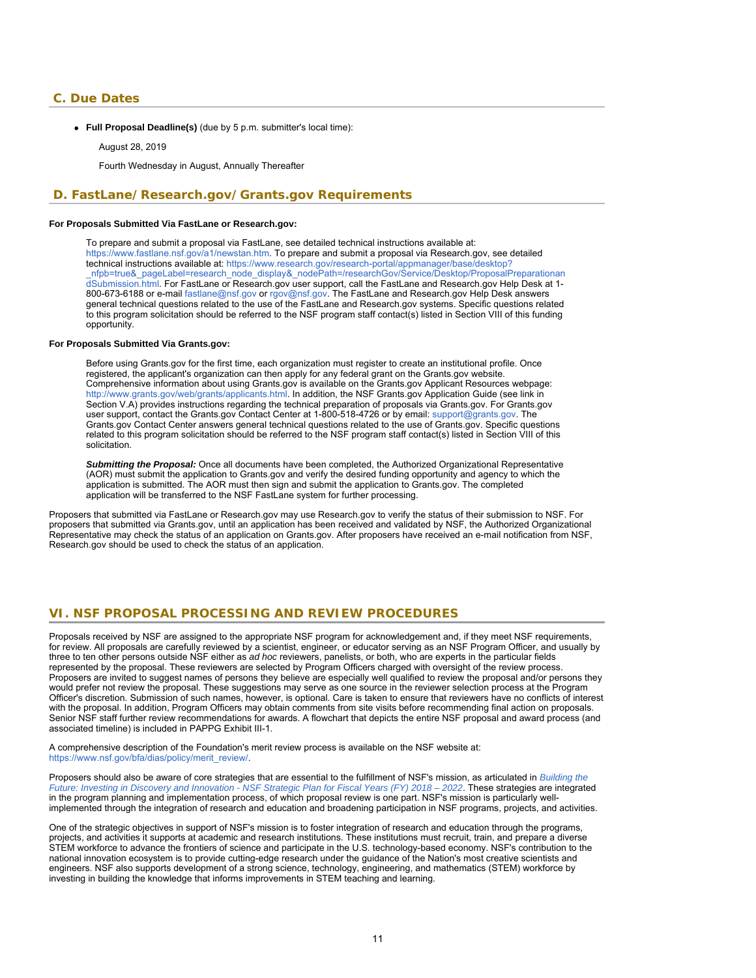### <span id="page-10-0"></span>**C. Due Dates**

**Full Proposal Deadline(s)** (due by 5 p.m. submitter's local time):

#### August 28, 2019

Fourth Wednesday in August, Annually Thereafter

### <span id="page-10-1"></span>**D. FastLane/Research.gov/Grants.gov Requirements**

### **For Proposals Submitted Via FastLane or Research.gov:**

To prepare and submit a proposal via FastLane, see detailed technical instructions available at: <https://www.fastlane.nsf.gov/a1/newstan.htm>. To prepare and submit a proposal via Research.gov, see detailed technical instructions available at: [https://www.research.gov/research-portal/appmanager/base/desktop?](https://www.research.gov/research-portal/appmanager/base/desktop?_nfpb=true&_pageLabel=research_node_display&_nodePath=/researchGov/Service/Desktop/ProposalPreparationandSubmission.html) nfpb=true&\_pageLabel=research\_node\_display&\_nodePath=/researchGov/Service/Desktop/ProposalPreparationan [dSubmission.html.](https://www.research.gov/research-portal/appmanager/base/desktop?_nfpb=true&_pageLabel=research_node_display&_nodePath=/researchGov/Service/Desktop/ProposalPreparationandSubmission.html) For FastLane or Research.gov user support, call the FastLane and Research.gov Help Desk at 1- 800-673-6188 or e-mail [fastlane@nsf.gov](mailto:fastlane@nsf.gov) or [rgov@nsf.gov](mailto:rgov@nsf.gov). The FastLane and Research.gov Help Desk answers general technical questions related to the use of the FastLane and Research.gov systems. Specific questions related to this program solicitation should be referred to the NSF program staff contact(s) listed in Section VIII of this funding opportunity.

### **For Proposals Submitted Via Grants.gov:**

Before using Grants.gov for the first time, each organization must register to create an institutional profile. Once registered, the applicant's organization can then apply for any federal grant on the Grants.gov website. Comprehensive information about using Grants.gov is available on the Grants.gov Applicant Resources webpage: [http://www.grants.gov/web/grants/applicants.html.](http://www.grants.gov/web/grants/applicants.html) In addition, the NSF Grants.gov Application Guide (see link in Section V.A) provides instructions regarding the technical preparation of proposals via Grants.gov. For Grants.gov user support, contact the Grants.gov Contact Center at 1-800-518-4726 or by email: [support@grants.gov.](mailto:support@grants.gov) The Grants.gov Contact Center answers general technical questions related to the use of Grants.gov. Specific questions related to this program solicitation should be referred to the NSF program staff contact(s) listed in Section VIII of this solicitation.

*Submitting the Proposal:* Once all documents have been completed, the Authorized Organizational Representative (AOR) must submit the application to Grants.gov and verify the desired funding opportunity and agency to which the application is submitted. The AOR must then sign and submit the application to Grants.gov. The completed application will be transferred to the NSF FastLane system for further processing.

<span id="page-10-2"></span>Proposers that submitted via FastLane or Research.gov may use Research.gov to verify the status of their submission to NSF. For proposers that submitted via Grants.gov, until an application has been received and validated by NSF, the Authorized Organizational Representative may check the status of an application on Grants.gov. After proposers have received an e-mail notification from NSF, Research.gov should be used to check the status of an application.

### **VI. NSF PROPOSAL PROCESSING AND REVIEW PROCEDURES**

Proposals received by NSF are assigned to the appropriate NSF program for acknowledgement and, if they meet NSF requirements, for review. All proposals are carefully reviewed by a scientist, engineer, or educator serving as an NSF Program Officer, and usually by three to ten other persons outside NSF either as *ad hoc* reviewers, panelists, or both, who are experts in the particular fields represented by the proposal. These reviewers are selected by Program Officers charged with oversight of the review process. Proposers are invited to suggest names of persons they believe are especially well qualified to review the proposal and/or persons they would prefer not review the proposal. These suggestions may serve as one source in the reviewer selection process at the Program Officer's discretion. Submission of such names, however, is optional. Care is taken to ensure that reviewers have no conflicts of interest with the proposal. In addition, Program Officers may obtain comments from site visits before recommending final action on proposals. Senior NSF staff further review recommendations for awards. A flowchart that depicts the entire NSF proposal and award process (and associated timeline) is included in PAPPG Exhibit III-1.

A comprehensive description of the Foundation's merit review process is available on the NSF website at: [https://www.nsf.gov/bfa/dias/policy/merit\\_review/](https://www.nsf.gov/bfa/dias/policy/merit_review/).

Proposers should also be aware of core strategies that are essential to the fulfillment of NSF's mission, as articulated in *[Building the](https://www.nsf.gov/publications/pub_summ.jsp?ods_key=nsf18045&org=NSF) [Future: Investing in Discovery and Innovation - NSF Strategic Plan for Fiscal Years \(FY\) 2018 – 2022](https://www.nsf.gov/publications/pub_summ.jsp?ods_key=nsf18045&org=NSF)*. These strategies are integrated in the program planning and implementation process, of which proposal review is one part. NSF's mission is particularly wellimplemented through the integration of research and education and broadening participation in NSF programs, projects, and activities.

One of the strategic objectives in support of NSF's mission is to foster integration of research and education through the programs, projects, and activities it supports at academic and research institutions. These institutions must recruit, train, and prepare a diverse STEM workforce to advance the frontiers of science and participate in the U.S. technology-based economy. NSF's contribution to the national innovation ecosystem is to provide cutting-edge research under the guidance of the Nation's most creative scientists and engineers. NSF also supports development of a strong science, technology, engineering, and mathematics (STEM) workforce by investing in building the knowledge that informs improvements in STEM teaching and learning.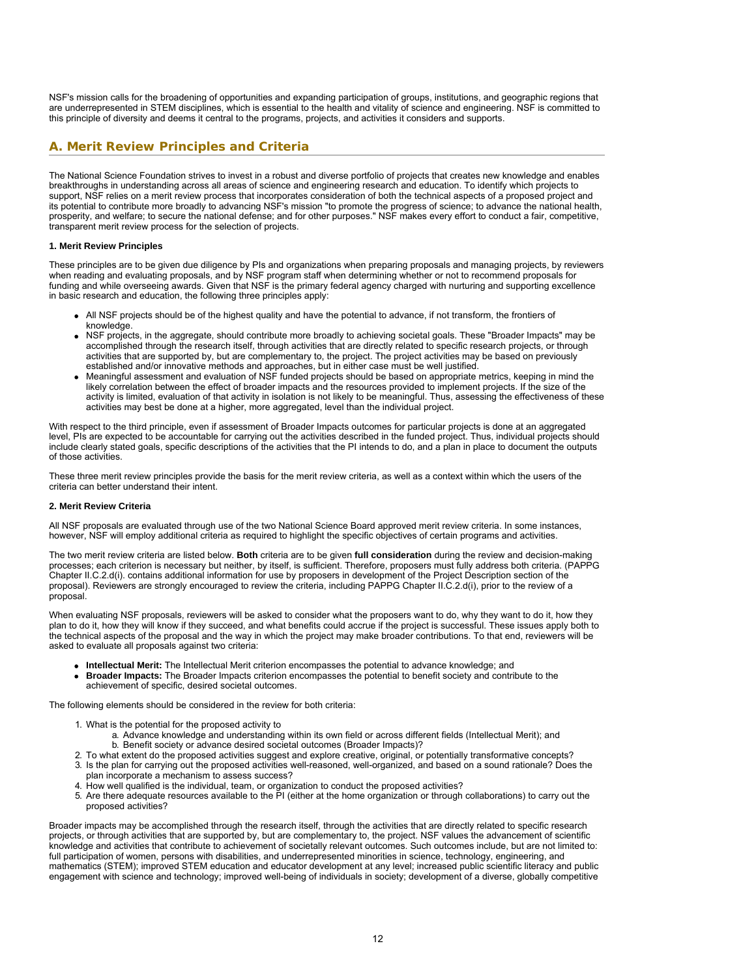NSF's mission calls for the broadening of opportunities and expanding participation of groups, institutions, and geographic regions that are underrepresented in STEM disciplines, which is essential to the health and vitality of science and engineering. NSF is committed to this principle of diversity and deems it central to the programs, projects, and activities it considers and supports.

# <span id="page-11-0"></span>**A. Merit Review Principles and Criteria**

The National Science Foundation strives to invest in a robust and diverse portfolio of projects that creates new knowledge and enables breakthroughs in understanding across all areas of science and engineering research and education. To identify which projects to support, NSF relies on a merit review process that incorporates consideration of both the technical aspects of a proposed project and its potential to contribute more broadly to advancing NSF's mission "to promote the progress of science; to advance the national health, prosperity, and welfare; to secure the national defense; and for other purposes." NSF makes every effort to conduct a fair, competitive, transparent merit review process for the selection of projects.

### **1. Merit Review Principles**

These principles are to be given due diligence by PIs and organizations when preparing proposals and managing projects, by reviewers when reading and evaluating proposals, and by NSF program staff when determining whether or not to recommend proposals for funding and while overseeing awards. Given that NSF is the primary federal agency charged with nurturing and supporting excellence in basic research and education, the following three principles apply:

- All NSF projects should be of the highest quality and have the potential to advance, if not transform, the frontiers of knowledge.
- NSF projects, in the aggregate, should contribute more broadly to achieving societal goals. These "Broader Impacts" may be accomplished through the research itself, through activities that are directly related to specific research projects, or through activities that are supported by, but are complementary to, the project. The project activities may be based on previously established and/or innovative methods and approaches, but in either case must be well justified.
- Meaningful assessment and evaluation of NSF funded projects should be based on appropriate metrics, keeping in mind the likely correlation between the effect of broader impacts and the resources provided to implement projects. If the size of the activity is limited, evaluation of that activity in isolation is not likely to be meaningful. Thus, assessing the effectiveness of these activities may best be done at a higher, more aggregated, level than the individual project.

With respect to the third principle, even if assessment of Broader Impacts outcomes for particular projects is done at an aggregated level, PIs are expected to be accountable for carrying out the activities described in the funded project. Thus, individual projects should include clearly stated goals, specific descriptions of the activities that the PI intends to do, and a plan in place to document the outputs of those activities.

These three merit review principles provide the basis for the merit review criteria, as well as a context within which the users of the criteria can better understand their intent.

#### **2. Merit Review Criteria**

All NSF proposals are evaluated through use of the two National Science Board approved merit review criteria. In some instances, however, NSF will employ additional criteria as required to highlight the specific objectives of certain programs and activities.

The two merit review criteria are listed below. **Both** criteria are to be given **full consideration** during the review and decision-making processes; each criterion is necessary but neither, by itself, is sufficient. Therefore, proposers must fully address both criteria. (PAPPG Chapter II.C.2.d(i). contains additional information for use by proposers in development of the Project Description section of the proposal). Reviewers are strongly encouraged to review the criteria, including PAPPG Chapter II.C.2.d(i), prior to the review of a proposal.

When evaluating NSF proposals, reviewers will be asked to consider what the proposers want to do, why they want to do it, how they plan to do it, how they will know if they succeed, and what benefits could accrue if the project is successful. These issues apply both to the technical aspects of the proposal and the way in which the project may make broader contributions. To that end, reviewers will be asked to evaluate all proposals against two criteria:

- **Intellectual Merit:** The Intellectual Merit criterion encompasses the potential to advance knowledge; and
- **Broader Impacts:** The Broader Impacts criterion encompasses the potential to benefit society and contribute to the achievement of specific, desired societal outcomes.

The following elements should be considered in the review for both criteria:

- 1. What is the potential for the proposed activity to
	- a. Advance knowledge and understanding within its own field or across different fields (Intellectual Merit); and b. Benefit society or advance desired societal outcomes (Broader Impacts)?
- 2. To what extent do the proposed activities suggest and explore creative, original, or potentially transformative concepts?
- 3. Is the plan for carrying out the proposed activities well-reasoned, well-organized, and based on a sound rationale? Does the plan incorporate a mechanism to assess success?
- 4. How well qualified is the individual, team, or organization to conduct the proposed activities?
- 5. Are there adequate resources available to the PI (either at the home organization or through collaborations) to carry out the proposed activities?

Broader impacts may be accomplished through the research itself, through the activities that are directly related to specific research projects, or through activities that are supported by, but are complementary to, the project. NSF values the advancement of scientific knowledge and activities that contribute to achievement of societally relevant outcomes. Such outcomes include, but are not limited to: full participation of women, persons with disabilities, and underrepresented minorities in science, technology, engineering, and mathematics (STEM); improved STEM education and educator development at any level; increased public scientific literacy and public engagement with science and technology; improved well-being of individuals in society; development of a diverse, globally competitive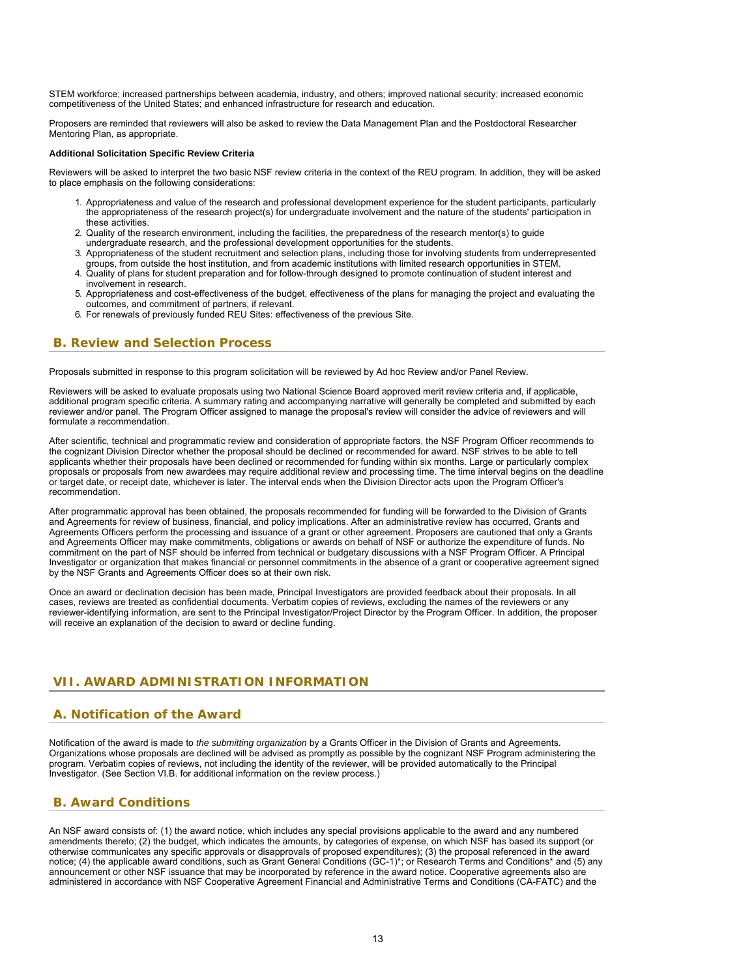STEM workforce; increased partnerships between academia, industry, and others; improved national security; increased economic competitiveness of the United States; and enhanced infrastructure for research and education.

Proposers are reminded that reviewers will also be asked to review the Data Management Plan and the Postdoctoral Researcher Mentoring Plan, as appropriate.

### **Additional Solicitation Specific Review Criteria**

Reviewers will be asked to interpret the two basic NSF review criteria in the context of the REU program. In addition, they will be asked to place emphasis on the following considerations:

- 1. Appropriateness and value of the research and professional development experience for the student participants, particularly the appropriateness of the research project(s) for undergraduate involvement and the nature of the students' participation in these activities.
- 2. Quality of the research environment, including the facilities, the preparedness of the research mentor(s) to guide undergraduate research, and the professional development opportunities for the students.
- 3. Appropriateness of the student recruitment and selection plans, including those for involving students from underrepresented
- groups, from outside the host institution, and from academic institutions with limited research opportunities in STEM. 4. Quality of plans for student preparation and for follow-through designed to promote continuation of student interest and involvement in research.
- 5. Appropriateness and cost-effectiveness of the budget, effectiveness of the plans for managing the project and evaluating the outcomes, and commitment of partners, if relevant.
- 6. For renewals of previously funded REU Sites: effectiveness of the previous Site.

# <span id="page-12-0"></span>**B. Review and Selection Process**

Proposals submitted in response to this program solicitation will be reviewed by Ad hoc Review and/or Panel Review.

Reviewers will be asked to evaluate proposals using two National Science Board approved merit review criteria and, if applicable, additional program specific criteria. A summary rating and accompanying narrative will generally be completed and submitted by each reviewer and/or panel. The Program Officer assigned to manage the proposal's review will consider the advice of reviewers and will formulate a recommendation.

After scientific, technical and programmatic review and consideration of appropriate factors, the NSF Program Officer recommends to the cognizant Division Director whether the proposal should be declined or recommended for award. NSF strives to be able to tell applicants whether their proposals have been declined or recommended for funding within six months. Large or particularly complex proposals or proposals from new awardees may require additional review and processing time. The time interval begins on the deadline or target date, or receipt date, whichever is later. The interval ends when the Division Director acts upon the Program Officer's recommendation.

After programmatic approval has been obtained, the proposals recommended for funding will be forwarded to the Division of Grants and Agreements for review of business, financial, and policy implications. After an administrative review has occurred, Grants and Agreements Officers perform the processing and issuance of a grant or other agreement. Proposers are cautioned that only a Grants and Agreements Officer may make commitments, obligations or awards on behalf of NSF or authorize the expenditure of funds. No commitment on the part of NSF should be inferred from technical or budgetary discussions with a NSF Program Officer. A Principal Investigator or organization that makes financial or personnel commitments in the absence of a grant or cooperative agreement signed by the NSF Grants and Agreements Officer does so at their own risk.

Once an award or declination decision has been made, Principal Investigators are provided feedback about their proposals. In all cases, reviews are treated as confidential documents. Verbatim copies of reviews, excluding the names of the reviewers or any reviewer-identifying information, are sent to the Principal Investigator/Project Director by the Program Officer. In addition, the proposer will receive an explanation of the decision to award or decline funding.

# <span id="page-12-1"></span>**VII. AWARD ADMINISTRATION INFORMATION**

# <span id="page-12-2"></span>**A. Notification of the Award**

Notification of the award is made to *the submitting organization* by a Grants Officer in the Division of Grants and Agreements. Organizations whose proposals are declined will be advised as promptly as possible by the cognizant NSF Program administering the program. Verbatim copies of reviews, not including the identity of the reviewer, will be provided automatically to the Principal Investigator. (See Section VI.B. for additional information on the review process.)

# <span id="page-12-3"></span>**B. Award Conditions**

An NSF award consists of: (1) the award notice, which includes any special provisions applicable to the award and any numbered amendments thereto; (2) the budget, which indicates the amounts, by categories of expense, on which NSF has based its support (or otherwise communicates any specific approvals or disapprovals of proposed expenditures); (3) the proposal referenced in the award notice; (4) the applicable award conditions, such as Grant General Conditions (GC-1)\*; or Research Terms and Conditions\* and (5) any announcement or other NSF issuance that may be incorporated by reference in the award notice. Cooperative agreements also are administered in accordance with NSF Cooperative Agreement Financial and Administrative Terms and Conditions (CA-FATC) and the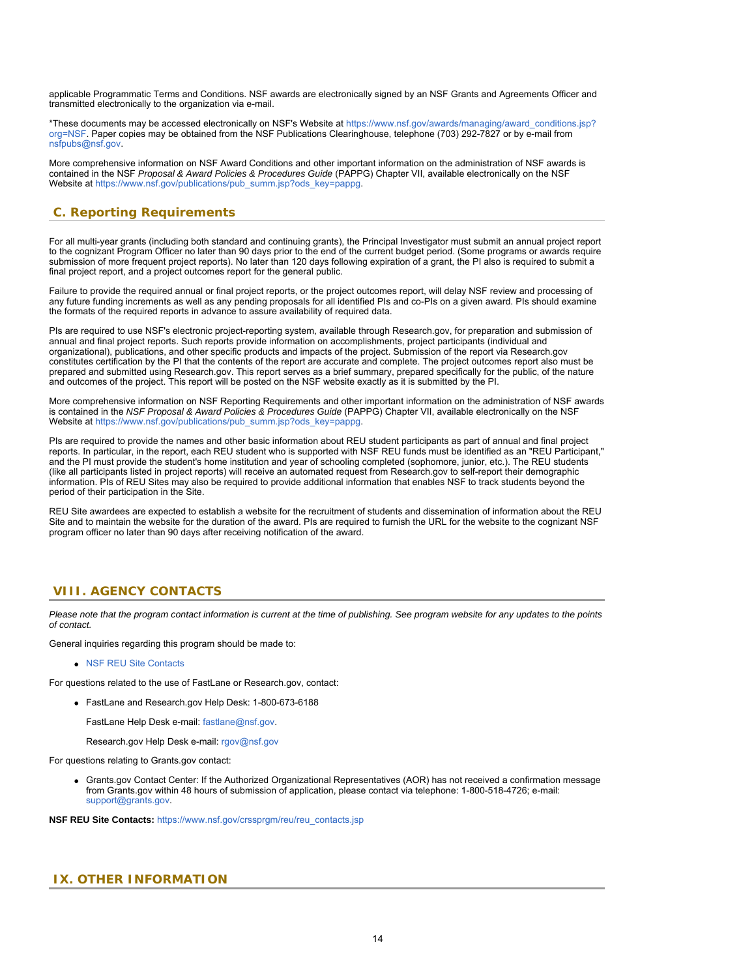applicable Programmatic Terms and Conditions. NSF awards are electronically signed by an NSF Grants and Agreements Officer and transmitted electronically to the organization via e-mail.

\*These documents may be accessed electronically on NSF's Website at [https://www.nsf.gov/awards/managing/award\\_conditions.jsp?](https://www.nsf.gov/awards/managing/award_conditions.jsp?org=NSF) [org=NSF.](https://www.nsf.gov/awards/managing/award_conditions.jsp?org=NSF) Paper copies may be obtained from the NSF Publications Clearinghouse, telephone (703) 292-7827 or by e-mail from [nsfpubs@nsf.gov.](mailto:nsfpubs@nsf.gov)

More comprehensive information on NSF Award Conditions and other important information on the administration of NSF awards is contained in the NSF *Proposal & Award Policies & Procedures Guide* (PAPPG) Chapter VII, available electronically on the NSF Website at [https://www.nsf.gov/publications/pub\\_summ.jsp?ods\\_key=pappg](https://www.nsf.gov/publications/pub_summ.jsp?ods_key=pappg).

# <span id="page-13-0"></span>**C. Reporting Requirements**

For all multi-year grants (including both standard and continuing grants), the Principal Investigator must submit an annual project report to the cognizant Program Officer no later than 90 days prior to the end of the current budget period. (Some programs or awards require submission of more frequent project reports). No later than 120 days following expiration of a grant, the PI also is required to submit a final project report, and a project outcomes report for the general public.

Failure to provide the required annual or final project reports, or the project outcomes report, will delay NSF review and processing of any future funding increments as well as any pending proposals for all identified PIs and co-PIs on a given award. PIs should examine the formats of the required reports in advance to assure availability of required data.

PIs are required to use NSF's electronic project-reporting system, available through Research.gov, for preparation and submission of annual and final project reports. Such reports provide information on accomplishments, project participants (individual and organizational), publications, and other specific products and impacts of the project. Submission of the report via Research.gov constitutes certification by the PI that the contents of the report are accurate and complete. The project outcomes report also must be prepared and submitted using Research.gov. This report serves as a brief summary, prepared specifically for the public, of the nature and outcomes of the project. This report will be posted on the NSF website exactly as it is submitted by the PI.

More comprehensive information on NSF Reporting Requirements and other important information on the administration of NSF awards is contained in the *NSF Proposal & Award Policies & Procedures Guide* (PAPPG) Chapter VII, available electronically on the NSF Website at [https://www.nsf.gov/publications/pub\\_summ.jsp?ods\\_key=pappg](https://www.nsf.gov/publications/pub_summ.jsp?ods_key=pappg).

PIs are required to provide the names and other basic information about REU student participants as part of annual and final project reports. In particular, in the report, each REU student who is supported with NSF REU funds must be identified as an "REU Participant," and the PI must provide the student's home institution and year of schooling completed (sophomore, junior, etc.). The REU students (like all participants listed in project reports) will receive an automated request from Research.gov to self-report their demographic information. PIs of REU Sites may also be required to provide additional information that enables NSF to track students beyond the period of their participation in the Site.

REU Site awardees are expected to establish a website for the recruitment of students and dissemination of information about the REU Site and to maintain the website for the duration of the award. PIs are required to furnish the URL for the website to the cognizant NSF program officer no later than 90 days after receiving notification of the award.

# <span id="page-13-1"></span>**VIII. AGENCY CONTACTS**

*Please note that the program contact information is current at the time of publishing. See program website for any updates to the points of contact.*

General inquiries regarding this program should be made to:

[NSF REU Site Contacts](https://www.nsf.gov/crssprgm/reu/reu_contacts.jsp)

For questions related to the use of FastLane or Research.gov, contact:

FastLane and Research.gov Help Desk: 1-800-673-6188

FastLane Help Desk e-mail: [fastlane@nsf.gov](mailto:fastlane@nsf.gov).

Research.gov Help Desk e-mail: [rgov@nsf.gov](mailto:rgov@nsf.gov)

For questions relating to Grants.gov contact:

Grants.gov Contact Center: If the Authorized Organizational Representatives (AOR) has not received a confirmation message from Grants.gov within 48 hours of submission of application, please contact via telephone: 1-800-518-4726; e-mail: [support@grants.gov.](mailto:support@grants.gov)

**NSF REU Site Contacts:** [https://www.nsf.gov/crssprgm/reu/reu\\_contacts.jsp](https://www.nsf.gov/crssprgm/reu/reu_contacts.jsp)

### <span id="page-13-2"></span>**IX. OTHER INFORMATION**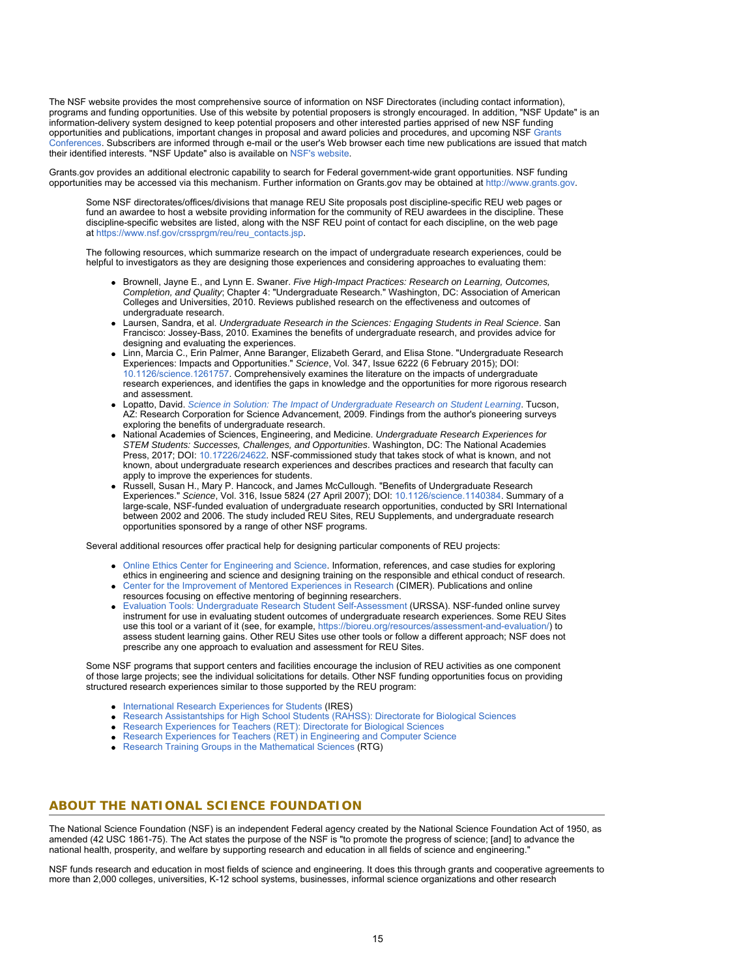The NSF website provides the most comprehensive source of information on NSF Directorates (including contact information), programs and funding opportunities. Use of this website by potential proposers is strongly encouraged. In addition, "NSF Update" is an information-delivery system designed to keep potential proposers and other interested parties apprised of new NSF funding opportunities and publications, important changes in proposal and award policies and procedures, and upcoming NSF [Grants](https://www.nsf.gov/bfa/dias/policy/outreach.jsp) [Conferences](https://www.nsf.gov/bfa/dias/policy/outreach.jsp). Subscribers are informed through e-mail or the user's Web browser each time new publications are issued that match their identified interests. "NSF Update" also is available on [NSF's website](https://www.nsf.gov/cgi-bin/goodbye?https://public.govdelivery.com/accounts/USNSF/subscriber/new?topic_id=USNSF_179).

Grants.gov provides an additional electronic capability to search for Federal government-wide grant opportunities. NSF funding opportunities may be accessed via this mechanism. Further information on Grants.gov may be obtained at [http://www.grants.gov](http://www.grants.gov/).

Some NSF directorates/offices/divisions that manage REU Site proposals post discipline-specific REU web pages or fund an awardee to host a website providing information for the community of REU awardees in the discipline. These discipline-specific websites are listed, along with the NSF REU point of contact for each discipline, on the web page at [https://www.nsf.gov/crssprgm/reu/reu\\_contacts.jsp](https://www.nsf.gov/crssprgm/reu/reu_contacts.jsp).

The following resources, which summarize research on the impact of undergraduate research experiences, could be helpful to investigators as they are designing those experiences and considering approaches to evaluating them:

- Brownell, Jayne E., and Lynn E. Swaner. *Five High-Impact Practices: Research on Learning, Outcomes, Completion, and Quality*; Chapter 4: "Undergraduate Research." Washington, DC: Association of American Colleges and Universities, 2010. Reviews published research on the effectiveness and outcomes of undergraduate research.
- Laursen, Sandra, et al. *Undergraduate Research in the Sciences: Engaging Students in Real Science*. San Francisco: Jossey-Bass, 2010. Examines the benefits of undergraduate research, and provides advice for designing and evaluating the experiences.
- Linn, Marcia C., Erin Palmer, Anne Baranger, Elizabeth Gerard, and Elisa Stone. "Undergraduate Research Experiences: Impacts and Opportunities." *Science*, Vol. 347, Issue 6222 (6 February 2015); DOI: [10.1126/science.1261757.](https://www.nsf.gov/cgi-bin/goodbye?https://doi.org/10.1126/science.1261757) Comprehensively examines the literature on the impacts of undergraduate research experiences, and identifies the gaps in knowledge and the opportunities for more rigorous research and assessment.
- Lopatto, David. *[Science in Solution: The Impact of Undergraduate Research on Student Learning](https://www.nsf.gov/cgi-bin/goodbye?https://www.grinnell.edu/sites/default/files/documents/science_in_solution_lopatto.pdf)*. Tucson, AZ: Research Corporation for Science Advancement, 2009. Findings from the author's pioneering surveys exploring the benefits of undergraduate research.
- National Academies of Sciences, Engineering, and Medicine. *Undergraduate Research Experiences for STEM Students: Successes, Challenges, and Opportunities*. Washington, DC: The National Academies Press, 2017; DOI: [10.17226/24622](https://www.nsf.gov/cgi-bin/goodbye?https://doi.org/10.17226/24622). NSF-commissioned study that takes stock of what is known, and not known, about undergraduate research experiences and describes practices and research that faculty can apply to improve the experiences for students.
- Russell, Susan H., Mary P. Hancock, and James McCullough. "Benefits of Undergraduate Research Experiences." *Science*, Vol. 316, Issue 5824 (27 April 2007); DOI: [10.1126/science.1140384.](https://www.nsf.gov/cgi-bin/goodbye?https://doi.org/10.1126/science.1140384) Summary of a large-scale, NSF-funded evaluation of undergraduate research opportunities, conducted by SRI International between 2002 and 2006. The study included REU Sites, REU Supplements, and undergraduate research opportunities sponsored by a range of other NSF programs.

Several additional resources offer practical help for designing particular components of REU projects:

- [Online Ethics Center for Engineering and Science.](https://www.nsf.gov/cgi-bin/goodbye?https://www.onlineethics.org/) Information, references, and case studies for exploring ethics in engineering and science and designing training on the responsible and ethical conduct of research.
- [Center for the Improvement of Mentored Experiences in Research](https://www.nsf.gov/cgi-bin/goodbye?https://cimerproject.org/) (CIMER). Publications and online resources focusing on effective mentoring of beginning researchers.
- 
- [Evaluation Tools: Undergraduate Research Student Self-Assessment](https://www.nsf.gov/cgi-bin/goodbye?https://www.colorado.edu/eer/research-areas/undergraduate-research/evaluation-tools-undergraduate-research-student-self) (URSSA). NSF-funded online survey instrument for use in evaluating student outcomes of undergraduate research experiences. Some REU Sites use this tool or a variant of it (see, for example, [https://bioreu.org/resources/assessment-and-evaluation/](https://www.nsf.gov/cgi-bin/goodbye?https://bioreu.org/resources/assessment-and-evaluation/)) to assess student learning gains. Other REU Sites use other tools or follow a different approach; NSF does not prescribe any one approach to evaluation and assessment for REU Sites.

Some NSF programs that support centers and facilities encourage the inclusion of REU activities as one component of those large projects; see the individual solicitations for details. Other NSF funding opportunities focus on providing structured research experiences similar to those supported by the REU program:

- [International Research Experiences for Students](https://www.nsf.gov/funding/pgm_summ.jsp?pims_id=12831) (IRES)
- [Research Assistantships for High School Students \(RAHSS\): Directorate for Biological Sciences](https://www.nsf.gov/funding/pgm_summ.jsp?pims_id=500035)  $\bullet$
- [Research Experiences for Teachers \(RET\): Directorate for Biological Sciences](https://www.nsf.gov/funding/pgm_summ.jsp?pims_id=503658)
- Research Experiences for Teachers  $(RET)$  in Engineering and Computer Science
- [Research Training Groups in the Mathematical Sciences](https://www.nsf.gov/funding/pgm_summ.jsp?pims_id=5732) (RTG)

### **ABOUT THE NATIONAL SCIENCE FOUNDATION**

The National Science Foundation (NSF) is an independent Federal agency created by the National Science Foundation Act of 1950, as amended (42 USC 1861-75). The Act states the purpose of the NSF is "to promote the progress of science; [and] to advance the national health, prosperity, and welfare by supporting research and education in all fields of science and engineering."

NSF funds research and education in most fields of science and engineering. It does this through grants and cooperative agreements to more than 2,000 colleges, universities, K-12 school systems, businesses, informal science organizations and other research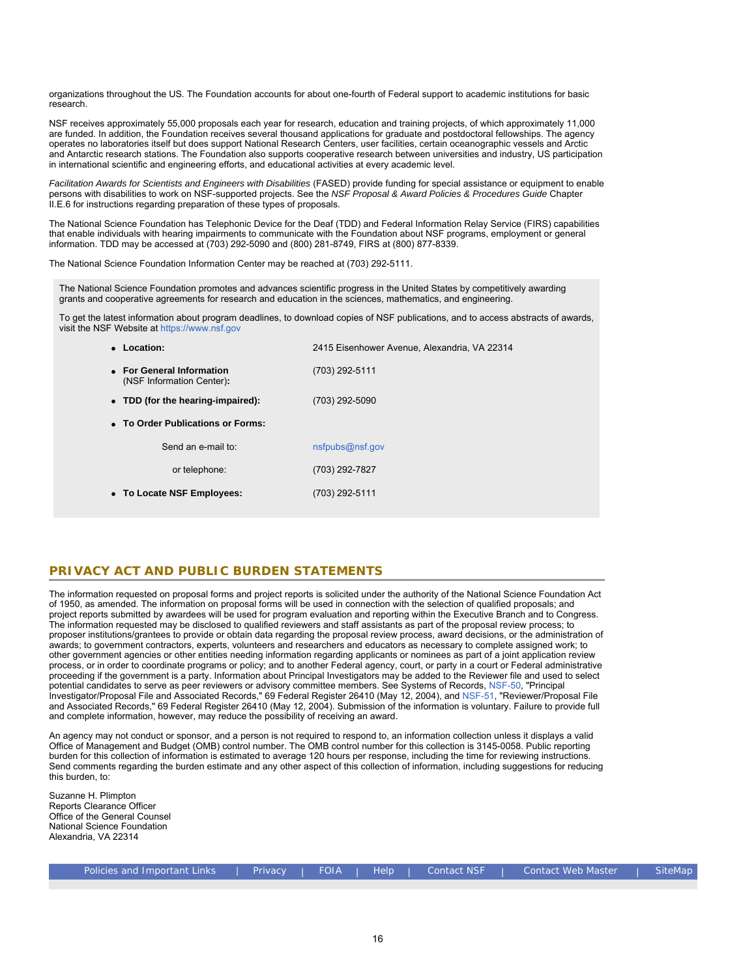organizations throughout the US. The Foundation accounts for about one-fourth of Federal support to academic institutions for basic research.

NSF receives approximately 55,000 proposals each year for research, education and training projects, of which approximately 11,000 are funded. In addition, the Foundation receives several thousand applications for graduate and postdoctoral fellowships. The agency operates no laboratories itself but does support National Research Centers, user facilities, certain oceanographic vessels and Arctic and Antarctic research stations. The Foundation also supports cooperative research between universities and industry, US participation in international scientific and engineering efforts, and educational activities at every academic level.

*Facilitation Awards for Scientists and Engineers with Disabilities* (FASED) provide funding for special assistance or equipment to enable persons with disabilities to work on NSF-supported projects. See the *NSF Proposal & Award Policies & Procedures Guide* Chapter II.E.6 for instructions regarding preparation of these types of proposals.

The National Science Foundation has Telephonic Device for the Deaf (TDD) and Federal Information Relay Service (FIRS) capabilities that enable individuals with hearing impairments to communicate with the Foundation about NSF programs, employment or general information. TDD may be accessed at (703) 292-5090 and (800) 281-8749, FIRS at (800) 877-8339.

The National Science Foundation Information Center may be reached at (703) 292-5111.

The National Science Foundation promotes and advances scientific progress in the United States by competitively awarding grants and cooperative agreements for research and education in the sciences, mathematics, and engineering.

To get the latest information about program deadlines, to download copies of NSF publications, and to access abstracts of awards, visit the NSF Website at [https://www.nsf.gov](https://www.nsf.gov/)

| • Location:                                            | 2415 Eisenhower Avenue, Alexandria, VA 22314 |  |  |  |
|--------------------------------------------------------|----------------------------------------------|--|--|--|
| • For General Information<br>(NSF Information Center): | (703) 292-5111                               |  |  |  |
| • TDD (for the hearing-impaired):                      | (703) 292-5090                               |  |  |  |
| • To Order Publications or Forms:                      |                                              |  |  |  |
| Send an e-mail to:                                     | nsfpubs@nsf.gov                              |  |  |  |
| or telephone:                                          | (703) 292-7827                               |  |  |  |
| • To Locate NSF Employees:                             | (703) 292-5111                               |  |  |  |
|                                                        |                                              |  |  |  |

# **PRIVACY ACT AND PUBLIC BURDEN STATEMENTS**

The information requested on proposal forms and project reports is solicited under the authority of the National Science Foundation Act of 1950, as amended. The information on proposal forms will be used in connection with the selection of qualified proposals; and project reports submitted by awardees will be used for program evaluation and reporting within the Executive Branch and to Congress. The information requested may be disclosed to qualified reviewers and staff assistants as part of the proposal review process; to proposer institutions/grantees to provide or obtain data regarding the proposal review process, award decisions, or the administration of awards; to government contractors, experts, volunteers and researchers and educators as necessary to complete assigned work; to other government agencies or other entities needing information regarding applicants or nominees as part of a joint application review process, or in order to coordinate programs or policy; and to another Federal agency, court, or party in a court or Federal administrative proceeding if the government is a party. Information about Principal Investigators may be added to the Reviewer file and used to select potential candidates to serve as peer reviewers or advisory committee members. See Systems of Records, [NSF-50,](https://www.nsf.gov/policies/SOR_PA_NSF-50_Principal_Investigator_Proposal_File.pdf) "Principal Investigator/Proposal File and Associated Records," 69 Federal Register 26410 (May 12, 2004), and [NSF-51](https://www.nsf.gov/policies/SOR_PA_NSF-51_Reviewer_Proposal_File.pdf), "Reviewer/Proposal File and Associated Records," 69 Federal Register 26410 (May 12, 2004). Submission of the information is voluntary. Failure to provide full and complete information, however, may reduce the possibility of receiving an award.

An agency may not conduct or sponsor, and a person is not required to respond to, an information collection unless it displays a valid Office of Management and Budget (OMB) control number. The OMB control number for this collection is 3145-0058. Public reporting burden for this collection of information is estimated to average 120 hours per response, including the time for reviewing instructions. Send comments regarding the burden estimate and any other aspect of this collection of information, including suggestions for reducing this burden, to:

Suzanne H. Plimpton Reports Clearance Officer Office of the General Counsel National Science Foundation Alexandria, VA 22314

| Policies and Important Links |  |  |  | Privacy   FOIA   Help   Contact_NSF | Contact Web Master | l SiteMap |
|------------------------------|--|--|--|-------------------------------------|--------------------|-----------|
|------------------------------|--|--|--|-------------------------------------|--------------------|-----------|